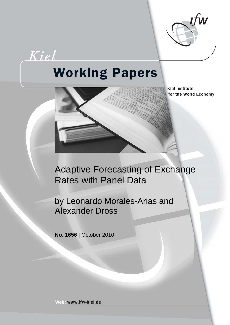

Kiel

# **Working Papers**

**Kiel Institute** for the World Economy



by Leonardo Morales-Arias and Alexander Dross

**No. 1656** | October 2010

Web: www.ifw-kiel.de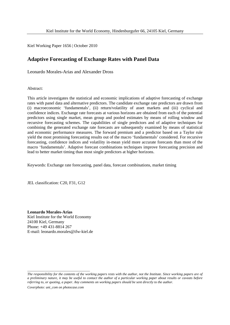Kiel Working Paper 1656 | October 2010

## **Adaptive Forecasting of Exchange Rates with Panel Data**

Leonardo Morales-Arias and Alexander Dross

Abstract:

This article investigates the statistical and economic implications of adaptive forecasting of exchange rates with panel data and alternative predictors. The candidate exchange rate predictors are drawn from (i) macroeconomic 'fundamentals', (ii) return/volatility of asset markets and (iii) cyclical and confidence indices. Exchange rate forecasts at various horizons are obtained from each of the potential predictors using single market, mean group and pooled estimates by means of rolling window and recursive forecasting schemes. The capabilities of single predictors and of adaptive techniques for combining the generated exchange rate forecasts are subsequently examined by means of statistical and economic performance measures. The forward premium and a predictor based on a Taylor rule yield the most promising forecasting results out of the macro 'fundamentals' considered. For recursive forecasting, confidence indices and volatility in-mean yield more accurate forecasts than most of the macro 'fundamentals'. Adaptive forecast combinations techniques improve forecasting precision and lead to better market timing than most single predictors at higher horizons.

Keywords: Exchange rate forecasting, panel data, forecast combinations, market timing

JEL classification: C20, F31, G12

**Leonardo Morales-Arias** Kiel Institute for the World Economy 24100 Kiel, Germany Phone: +49 431-8814 267 E-mail: leonardo.morales@ifw-kiel.de

*The responsibility for the contents of the working papers rests with the author, not the Institute. Since working papers are of a preliminary nature, it may be useful to contact the author of a particular working paper about results or caveats before referring to, or quoting, a paper. Any comments on working papers should be sent directly to the author.* 

*Coverphoto: uni\_com on photocase.com* 

\_\_\_\_\_\_\_\_\_\_\_\_\_\_\_\_\_\_\_\_\_\_\_\_\_\_\_\_\_\_\_\_\_\_\_\_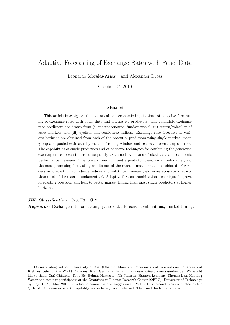## Adaptive Forecasting of Exchange Rates with Panel Data

Leonardo Morales-Arias<sup>∗</sup> and Alexander Dross

October 27, 2010

#### Abstract

This article investigates the statistical and economic implications of adaptive forecasting of exchange rates with panel data and alternative predictors. The candidate exchange rate predictors are drawn from (i) macroeconomic 'fundamentals', (ii) return/volatility of asset markets and (iii) cyclical and confidence indices. Exchange rate forecasts at various horizons are obtained from each of the potential predictors using single market, mean group and pooled estimates by means of rolling window and recursive forecasting schemes. The capabilities of single predictors and of adaptive techniques for combining the generated exchange rate forecasts are subsequently examined by means of statistical and economic performance measures. The forward premium and a predictor based on a Taylor rule yield the most promising forecasting results out of the macro 'fundamentals' considered. For recursive forecasting, confidence indices and volatility in-mean yield more accurate forecasts than most of the macro 'fundamentals'. Adaptive forecast combinations techniques improve forecasting precision and lead to better market timing than most single predictors at higher horizons.

JEL Classification: C20, F31, G12

Keywords: Exchange rate forecasting, panel data, forecast combinations, market timing.

<sup>∗</sup>Corresponding author. University of Kiel (Chair of Monetary Economics and International Finance) and Kiel Institute for the World Economy, Kiel, Germany. Email: moralesarias@economics.uni-kiel.de. We would like to thank Carl Chiarella, Tony He, Helmut Herwartz, Nils Jannsen, Harmen Lehment, Thomas Lux, Henning Weber and seminar participants at the Quantitative Finance Research Center (QFRC), University of Technology Sydney (UTS), May 2010 for valuable comments and suggestions. Part of this research was conducted at the QFRC-UTS whose excellent hospitality is also hereby acknowledged. The usual disclaimer applies.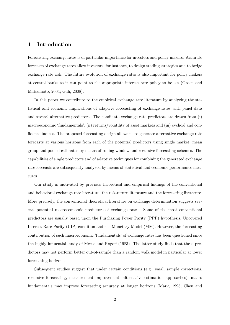## 1 Introduction

Forecasting exchange rates is of particular importance for investors and policy makers. Accurate forecasts of exchange rates allow investors, for instance, to design trading strategies and to hedge exchange rate risk. The future evolution of exchange rates is also important for policy makers at central banks as it can point to the appropriate interest rate policy to be set (Groen and Matsumoto, 2004; Gali, 2008).

In this paper we contribute to the empirical exchange rate literature by analyzing the statistical and economic implications of adaptive forecasting of exchange rates with panel data and several alternative predictors. The candidate exchange rate predictors are drawn from (i) macroeconomic 'fundamentals', (ii) returns/volatility of asset markets and (iii) cyclical and confidence indices. The proposed forecasting design allows us to generate alternative exchange rate forecasts at various horizons from each of the potential predictors using single market, mean group and pooled estimates by means of rolling window and recursive forecasting schemes. The capabilities of single predictors and of adaptive techniques for combining the generated exchange rate forecasts are subsequently analyzed by means of statistical and economic performance measures.

Our study is motivated by previous theoretical and empirical findings of the conventional and behavioral exchange rate literature, the risk-return literature and the forecasting literature. More precisely, the conventional theoretical literature on exchange determination suggests several potential macroeconomic predictors of exchange rates. Some of the most conventional predictors are usually based upon the Purchasing Power Parity (PPP) hypothesis, Uncovered Interest Rate Parity (UIP) condition and the Monetary Model (MM). However, the forecasting contribution of such macroeconomic 'fundamentals' of exchange rates has been questioned since the highly influential study of Meese and Rogoff (1983). The latter study finds that these predictors may not perform better out-of-sample than a random walk model in particular at lower forecasting horizons.

Subsequent studies suggest that under certain conditions (e.g. small sample corrections, recursive forecasting, measurement improvement, alternative estimation approaches), macro fundamentals may improve forecasting accuracy at longer horizons (Mark, 1995; Chen and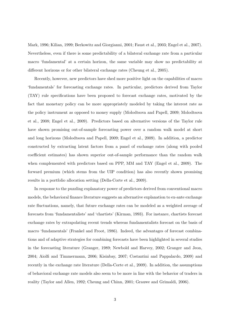Mark, 1996; Kilian, 1999; Berkowitz and Giorgianni, 2001; Faust et al., 2003; Engel et al., 2007). Nevertheless, even if there is some predictability of a bilateral exchange rate from a particular macro 'fundamental' at a certain horizon, the same variable may show no predictability at different horizons or for other bilateral exchange rates (Cheung et al., 2005).

Recently, however, new predictors have shed more positive light on the capabilities of macro 'fundamentals' for forecasting exchange rates. In particular, predictors derived from Taylor (TAY) rule specifications have been proposed to forecast exchange rates, motivated by the fact that monetary policy can be more appropriately modeled by taking the interest rate as the policy instrument as opposed to money supply (Molodtsova and Papell, 2009; Molodtsova et al., 2008; Engel et al., 2009). Predictors based on alternative versions of the Taylor rule have shown promising out-of-sample forecasting power over a random walk model at short and long horizons (Molodtsova and Papell, 2009; Engel et al., 2009). In addition, a predictor constructed by extracting latent factors from a panel of exchange rates (along with pooled coefficient estimates) has shown superior out-of-sample performance than the random walk when complemented with predictors based on PPP, MM and TAY (Engel et al., 2009). The forward premium (which stems from the UIP condition) has also recently shown promising results in a portfolio allocation setting (Della-Corte et al., 2009).

In response to the puzzling explanatory power of predictors derived from conventional macro models, the behavioral finance literature suggests an alternative explanation to ex-ante exchange rate fluctuations, namely, that future exchange rates can be modeled as a weighted average of forecasts from 'fundamentalists' and 'chartists' (Kirman, 1993). For instance, chartists forecast exchange rates by extrapolating recent trends whereas fundamentalists forecast on the basis of macro 'fundamentals' (Frankel and Froot, 1986). Indeed, the advantages of forecast combinations and of adaptive strategies for combining forecasts have been highlighted in several studies in the forecasting literature (Granger, 1989; Newbold and Harvey, 2002; Granger and Jeon, 2004; Aiolfi and Timmermann, 2006; Kisinbay, 2007; Costantini and Pappalardo, 2009) and recently in the exchange rate literature (Della-Corte et al., 2009). In addition, the assumptions of behavioral exchange rate models also seem to be more in line with the behavior of traders in reality (Taylor and Allen, 1992; Cheung and Chinn, 2001; Grauwe and Grimaldi, 2006).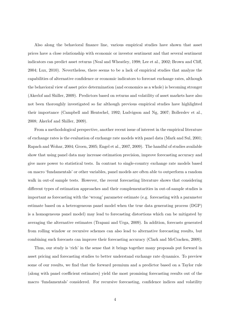Also along the behavioral finance line, various empirical studies have shown that asset prices have a close relationship with economic or investor sentiment and that several sentiment indicators can predict asset returns (Neal and Wheatley, 1998; Lee et al., 2002; Brown and Cliff, 2004; Lux, 2010). Nevertheless, there seems to be a lack of empirical studies that analyze the capabilities of alternative confidence or economic indicators to forecast exchange rates, although the behavioral view of asset price determination (and economics as a whole) is becoming stronger (Akerlof and Shiller, 2009). Predictors based on returns and volatility of asset markets have also not been thoroughly investigated so far although previous empirical studies have highlighted their importance (Campbell and Hentschel, 1992; Ludvigson and Ng, 2007; Bollerslev et al., 2008; Akerlof and Shiller, 2009).

From a methodological perspective, another recent issue of interest in the empirical literature of exchange rates is the evaluation of exchange rate models with panel data (Mark and Sul, 2001; Rapach and Wohar, 2004; Groen, 2005; Engel et al., 2007, 2009). The handful of studies available show that using panel data may increase estimation precision, improve forecasting accuracy and give more power to statistical tests. In contrast to single-country exchange rate models based on macro 'fundamentals' or other variables, panel models are often able to outperform a random walk in out-of sample tests. However, the recent forecasting literature shows that considering different types of estimation approaches and their complementarities in out-of-sample studies is important as forecasting with the 'wrong' parameter estimate (e.g. forecasting with a parameter estimate based on a heterogeneous panel model when the true data generating process (DGP) is a homogeneous panel model) may lead to forecasting distortions which can be mitigated by averaging the alternative estimates (Trapani and Urga, 2009). In addition, forecasts generated from rolling window or recursive schemes can also lead to alternative forecasting results, but combining such forecasts can improve their forecasting accuracy (Clark and McCracken, 2009).

Thus, our study is 'rich' in the sense that it brings together many proposals put forward in asset pricing and forecasting studies to better understand exchange rate dynamics. To preview some of our results, we find that the forward premium and a predictor based on a Taylor rule (along with panel coefficient estimates) yield the most promising forecasting results out of the macro 'fundamentals' considered. For recursive forecasting, confidence indices and volatility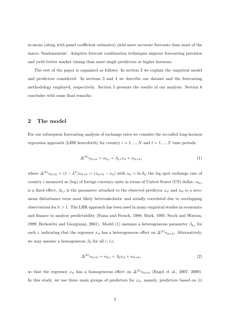in-mean (along with panel coefficient estimates) yield more accurate forecasts than most of the macro 'fundamentals'. Adaptive forecast combination techniques improve forecasting precision and yield better market timing than most single predictors at higher horizons.

The rest of the paper is organized as follows: In section 2 we explain the empirical model and predictors considered. In sections 3 and 4 we describe our dataset and the forecasting methodology employed, respectively. Section 5 presents the results of our analysis. Section 6 concludes with some final remarks.

## 2 The model

For our subsequent forecasting analysis of exchange rates we consider the so-called long-horizon regression approach (LHR henceforth) for country  $i = 1, ..., N$  and  $t = 1, ..., T$  time periods:

$$
\Delta^{(h)}s_{it+h} = \alpha_{h,i} + \beta_{h,i}x_{it} + u_{it+h},\tag{1}
$$

where  $\Delta^{(h)}s_{it+h} = (1 - L^h)s_{it+h} = (s_{it+h} - s_{it})$  with  $s_{it} = \ln S_{it}$  the log spot exchange rate of country i measured as (log) of foreign currency units in terms of United States (US) dollar,  $\alpha_{h,i}$ is a fixed effect,  $\beta_{h,i}$  is the parameter attached to the observed predictor  $x_{it}$  and  $u_{it}$  is a zeromean disturbance term most likely heteroskedastic and serially correlated due to overlapping observations for  $h > 1$ . The LHR approach has been used in many empirical studies in economics and finance to analyze predictability (Fama and French, 1988; Mark, 1995; Stock and Watson, 1999; Berkowitz and Giorgianni, 2001). Model (1) assumes a heterogeneous parameter  $\beta_{h,i}$  for each *i*, indicating that the regressor  $x_{it}$  has a heterogeneous effect on  $\Delta^{(h)}s_{it+h}$ . Alternatively, we may assume a homogeneous  $\beta_h$  for all *i*, i.e.

$$
\Delta^{(h)}s_{it+h} = \alpha_{h,i} + \beta_h x_{it} + u_{it+h},\tag{2}
$$

so that the regressor  $x_{it}$  has a homogeneous effect on  $\Delta^{(h)} s_{it+h}$  (Engel et al., 2007, 2009). In this study, we use three main groups of predictors for  $x_{it}$ , namely, predictors based on (i)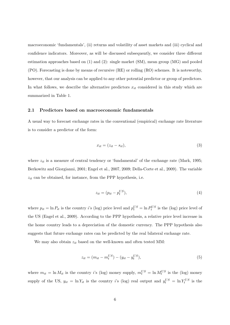macroeconomic 'fundamentals', (ii) returns and volatility of asset markets and (iii) cyclical and confidence indicators. Moreover, as will be discussed subsequently, we consider three different estimation approaches based on (1) and (2): single market (SM), mean group (MG) and pooled (PO). Forecasting is done by means of recursive (RE) or rolling (RO) schemes. It is noteworthy, however, that our analysis can be applied to any other potential predictor or group of predictors. In what follows, we describe the alternative predictors  $x_{it}$  considered in this study which are summarized in Table 1.

#### 2.1 Predictors based on macroeconomic fundamentals

A usual way to forecast exchange rates in the conventional (empirical) exchange rate literature is to consider a predictor of the form:

$$
x_{it} = (z_{it} - s_{it}),\tag{3}
$$

where  $z_{it}$  is a measure of central tendency or 'fundamental' of the exchange rate (Mark, 1995; Berkowitz and Giorgianni, 2001; Engel et al., 2007, 2009; Della-Corte et al., 2009). The variable  $z_{it}$  can be obtained, for instance, from the PPP hypothesis, i.e.

$$
z_{it} = (p_{it} - p_t^{US}),\tag{4}
$$

where  $p_{it} = \ln P_{it}$  is the country *i*'s (log) price level and  $p_t^{US} = \ln P_t^{US}$  is the (log) price level of the US (Engel et al., 2009). According to the PPP hypothesis, a relative price level increase in the home country leads to a depreciation of the domestic currency. The PPP hypothesis also suggests that future exchange rates can be predicted by the real bilateral exchange rate.

We may also obtain  $z_{it}$  based on the well-known and often tested MM:

$$
z_{it} = (m_{it} - m_t^{US}) - (y_{it} - y_t^{US}),
$$
\n(5)

where  $m_{it} = \ln M_{it}$  is the country *i*'s (log) money supply,  $m_t^{US} = \ln M_t^{US}$  is the (log) money supply of the US,  $y_{it} = \ln Y_{it}$  is the country i's (log) real output and  $y_t^{US} = \ln Y_t^{US}$  is the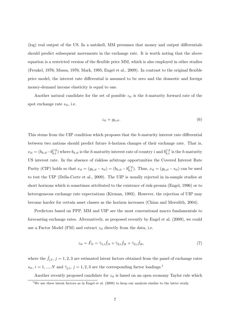(log) real output of the US. In a nutshell, MM presumes that money and output differentials should predict subsequent movements in the exchange rate. It is worth noting that the above equation is a restricted version of the flexible price MM, which is also employed in other studies (Frenkel, 1976; Mussa, 1976; Mark, 1995; Engel et al., 2009). In contrast to the original flexible price model, the interest rate differential is assumed to be zero and the domestic and foreign money-demand income elasticity is equal to one.

Another natural candidate for the set of possible  $z_{it}$  is the h-maturity forward rate of the spot exchange rate  $s_{it}$ , i.e.

$$
z_{it} = g_{h,it}.\tag{6}
$$

This stems from the UIP condition which proposes that the h-maturity interest rate differential between two nations should predict future h-horizon changes of their exchange rate. That is,  $x_{it} = (b_{h,it} - b_{h,t}^{US})$  where  $b_{h,it}$  is the h-maturity interest rate of country i and  $b_{h,t}^{US}$  is the h-maturity US interest rate. In the absence of riskless arbitrage opportunities the Covered Interest Rate Parity (CIP) holds so that  $x_{it} = (g_{h,it} - s_{it}) = (b_{h,it} - b_{h,t}^{US})$ . Thus,  $x_{it} = (g_{h,it} - s_{it})$  can be used to test the UIP (Della-Corte et al., 2009). The UIP is usually rejected in in-sample studies at short horizons which is sometimes attributed to the existence of risk-premia (Engel, 1996) or to heterogeneous exchange rate expectations (Kirman, 1993). However, the rejection of UIP may become harder for certain asset classes as the horizon increases (Chinn and Meredith, 2004).

Predictors based on PPP, MM and UIP are the most conventional macro fundamentals to forecasting exchange rates. Alternatively, as proposed recently by Engel et al. (2009), we could use a Factor Model (FM) and extract  $z_{it}$  directly from the data, i.e.

$$
z_{it} = \hat{F}_{it} = \hat{\gamma}_{1,i}\hat{f}_{1t} + \hat{\gamma}_{2,i}\hat{f}_{2t} + \hat{\gamma}_{3,i}\hat{f}_{3t},\tag{7}
$$

where the  $\hat{f}_{j,t}$ ,  $j = 1, 2, 3$  are estimated latent factors obtained from the panel of exchange rates  $s_{it}$ ,  $i = 1, ..., N$  and  $\hat{\gamma}_{j,i}$ ,  $j = 1, 2, 3$  are the corresponding factor loadings.<sup>1</sup>

Another recently proposed candidate for  $z_{it}$  is based on an open economy Taylor rule which

<sup>&</sup>lt;sup>1</sup>We use three latent factors as in Engel et al.  $(2009)$  to keep our analysis similar to the latter study.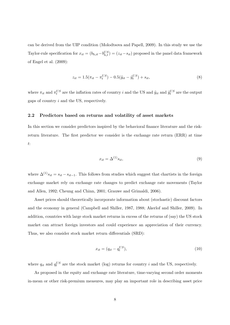can be derived from the UIP condition (Molodtsova and Papell, 2009). In this study we use the Taylor-rule specification for  $x_{it} = (b_{h,it} - b_{h,t}^{US}) = (z_{it} - s_{it})$  proposed in the panel data framework of Engel et al. (2009):

$$
z_{it} = 1.5(\pi_{it} - \pi_t^{US}) - 0.5(\tilde{y}_{it} - \tilde{y}_t^{US}) + s_{it},
$$
\n(8)

where  $\pi_{it}$  and  $\pi_t^{US}$  are the inflation rates of country i and the US and  $\tilde{y}_{it}$  and  $\tilde{y}_t^{US}$  are the output gaps of country i and the US, respectively.

#### 2.2 Predictors based on returns and volatility of asset markets

In this section we consider predictors inspired by the behavioral finance literature and the riskreturn literature. The first predictor we consider is the exchange rate return (ERR) at time t:

$$
x_{it} = \Delta^{(1)} s_{it},\tag{9}
$$

where  $\Delta^{(1)}s_{it} = s_{it} - s_{it-1}$ . This follows from studies which suggest that chartists in the foreign exchange market rely on exchange rate changes to predict exchange rate movements (Taylor and Allen, 1992; Cheung and Chinn, 2001; Grauwe and Grimaldi, 2006).

Asset prices should theoretically incorporate information about (stochastic) discount factors and the economy in general (Campbell and Shiller, 1987, 1988; Akerlof and Shiller, 2009). In addition, countries with large stock market returns in excess of the returns of (say) the US stock market can attract foreign investors and could experience an appreciation of their currency. Thus, we also consider stock market return differentials (SRD):

$$
x_{it} = (q_{it} - q_t^{US}),\tag{10}
$$

where  $q_{it}$  and  $q_t^{US}$  are the stock market (log) returns for country i and the US, respectively.

As proposed in the equity and exchange rate literature, time-varying second order moments in-mean or other risk-premium measures, may play an important role in describing asset price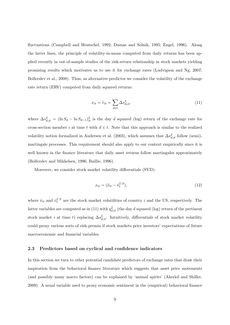fluctuations (Campbell and Hentschel, 1992; Dumas and Solnik, 1995; Engel, 1996). Along the latter lines, the principle of volatility-in-mean computed from daily returns has been applied recently in out-of-sample studies of the risk-return relationship in stock markets yielding promising results which motivates us to use it for exchange rates (Ludvigson and Ng, 2007; Bollerslev et al., 2008). Thus, as alternative predictor we consider the volatility of the exchange rate return (ERV) computed from daily squared returns:

$$
x_{it} = \hat{v}_{it} = \sum_{d \in t} \Delta s_{d,it}^2,
$$
\n(11)

where  $\Delta s_{d,it}^2 = (\ln S_d - \ln S_{d-1})_{it}^2$  is the day d squared (log) return of the exchange rate for cross-section member i at time t with  $d \in t$ . Note that this approach is similar to the realized volatility notion formalized in Andersen et al. (2003), which assumes that  $\Delta s_{d,it}^2$  follow (semi)martingale processes. This requirement should also apply to our context empirically since it is well known in the finance literature that daily asset returns follow martingales approximately (Bollerslev and Mikkelsen, 1996; Baillie, 1996).

Moreover, we consider stock market volatility differentials (SVD):

$$
x_{it} = (\hat{\nu}_{it} - \hat{\nu}_t^{US}),\tag{12}
$$

where  $\hat{\nu}_{it}$  and  $\hat{\nu}_{t}^{US}$  are the stock market volatilities of country i and the US, respectively. The latter variables are computed as in (11) with  $q_{d,it}^2$  (the day d squared (log) return of the pertinent stock market i at time t) replacing  $\Delta s_{d,it}^2$ . Intuitively, differentials of stock market volatility could proxy various sorts of risk-premia if stock markets price investors' expectations of future macroeconomic and financial variables.

#### 2.3 Predictors based on cyclical and confidence indicators

In this section we turn to other potential candidate predictors of exchange rates that draw their inspiration from the behavioral finance literature which suggests that asset price movements (and possibly many macro factors) can be explained by 'animal spirits' (Akerlof and Shiller, 2009). A usual variable used to proxy economic sentiment in the (empirical) behavioral finance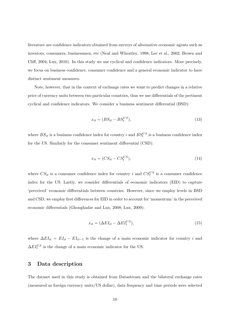literature are confidence indicators obtained from surveys of alternative economic agents such as investors, consumers, businessmen, etc (Neal and Wheatley, 1998; Lee et al., 2002; Brown and Cliff, 2004; Lux, 2010). In this study we use cyclical and confidence indicators. More precisely, we focus on business confidence, consumer confidence and a general economic indicator to have distinct sentiment measures.

Note, however, that in the context of exchange rates we want to predict changes in a relative price of currency units between two particular countries, thus we use differentials of the pertinent cyclical and confidence indicators. We consider a business sentiment differential (BSD):

$$
x_{it} = (BS_{it} - BS_{t}^{US}),\tag{13}
$$

where  $BS_{it}$  is a business confidence index for country i and  $BS_t^{US}$  is a business confidence index for the US. Similarly for the consumer sentiment differential (CSD):

$$
x_{it} = (CS_{it} - CS_{t}^{US}), \tag{14}
$$

where  $CS_{it}$  is a consumer confidence index for country i and  $CS_t^{US}$  is a consumer confidence index for the US. Lastly, we consider differentials of economic indicators (EID) to capture 'perceived' economic differentials between countries. However, since we employ levels in BSD and CSD, we employ first differences for EID in order to account for 'momentum' in the perceived economic differentials (Ghonghadze and Lux, 2008; Lux, 2009):

$$
x_{it} = (\Delta EI_{it} - \Delta EI_t^{US}),\tag{15}
$$

where  $\Delta EI_{it} = EI_{it} - EI_{it-1}$  is the change of a main economic indicator for country i and  $\Delta EI_t^{US}$  is the change of a main economic indicator for the US.

## 3 Data description

The dataset used in this study is obtained from Datastream and the bilateral exchange rates (measured as foreign currency units/US dollar), data frequency and time periods were selected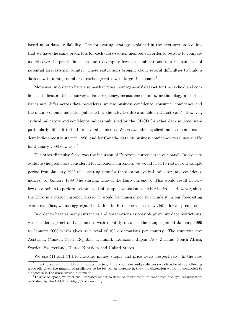based upon data availability. The forecasting strategy explained in the next section requires that we have the same predictors for each cross-section member  $i$  in order to be able to compare models over the panel dimension and to compute forecast combinations from the same set of potential forecasts per country. These restrictions brought about several difficulties to build a dataset with a large number of exchange rates with large time spans.<sup>2</sup>

Moreover, in order to have a somewhat more 'homogeneous' dataset for the cyclical and confidence indicators (since surveys, data frequency, measurement units, methodology and other issues may differ across data providers), we use business confidence, consumer confidence and the main economic indicator published by the OECD (also available in Datastream). However, cyclical indicators and confidence indices published by the OECD (or other data sources) were particularly difficult to find for several countries. When available, cyclical indicators and confident indices mostly start in 1996, and for Canada, data on business confidence were unavailable for January 2008 onwards.<sup>3</sup>

The other difficulty faced was the inclusion of Eurozone currencies in our panel. In order to evaluate the predictors considered for Eurozone currencies we would need to restrict our sample period from January 1996 (the starting time for the data on cyclical indicators and confidence indices) to January 1999 (the starting time of the Euro currency). This would result in very few data points to perform relevant out-of-sample evaluation at higher horizons. However, since the Euro is a major currency player, it would be unusual not to include it in our forecasting exercises. Thus, we use aggregated data for the Eurozone which is available for all predictors.

In order to have as many currencies and observations as possible given our data restrictions, we consider a panel of 12 countries with monthly data for the sample period January 1999 to January 2008 which gives us a total of 109 observations per country. The countries are: Australia, Canada, Czech Republic, Denmark, Eurozone, Japan, New Zealand, South Africa, Sweden, Switzerland, United Kingdom and United States.

We use M1 and CPI to measure money supply and price levels, respectively. In the case

<sup>&</sup>lt;sup>2</sup>In fact, because of our different dimensions (e.g. time, countries and predictors) we often faced the following trade-off: given the number of predictors to be tested, an increase in the time dimension would be connected to a decrease in the cross-section dimension.

<sup>3</sup>To save on space, we refer the interested reader to detailed information on confidence and cyclical indicators published by the OECD at http://www.oecd.org.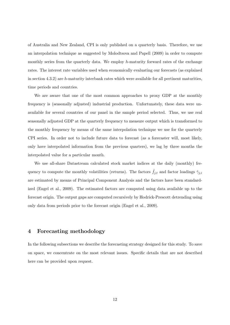of Australia and New Zealand, CPI is only published on a quarterly basis. Therefore, we use an interpolation technique as suggested by Molodtsova and Papell (2009) in order to compute monthly series from the quarterly data. We employ h-maturity forward rates of the exchange rates. The interest rate variables used when economically evaluating our forecasts (as explained in section  $4.3.2$ ) are h-maturity interbank rates which were available for all pertinent maturities, time periods and countries.

We are aware that one of the most common approaches to proxy GDP at the monthly frequency is (seasonally adjusted) industrial production. Unfortunately, these data were unavailable for several countries of our panel in the sample period selected. Thus, we use real seasonally adjusted GDP at the quarterly frequency to measure output which is transformed to the monthly frequency by means of the same interpolation technique we use for the quarterly CPI series. In order not to include future data to forecast (as a forecaster will, most likely, only have interpolated information from the previous quarters), we lag by three months the interpolated value for a particular month.

We use all-share Datastream calculated stock market indices at the daily (monthly) frequency to compute the monthly volatilities (returns). The factors  $\hat{f}_{j,t}$  and factor loadings  $\hat{\gamma}_{j,i}$ are estimated by means of Principal Component Analysis and the factors have been standardized (Engel et al., 2009). The estimated factors are computed using data available up to the forecast origin. The output gaps are computed recursively by Hodrick-Prescott detrending using only data from periods prior to the forecast origin (Engel et al., 2009).

## 4 Forecasting methodology

In the following subsections we describe the forecasting strategy designed for this study. To save on space, we concentrate on the most relevant issues. Specific details that are not described here can be provided upon request.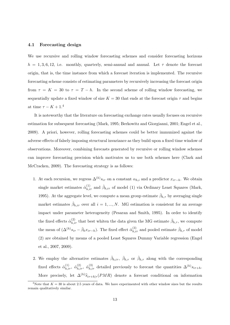#### 4.1 Forecasting design

We use recursive and rolling window forecasting schemes and consider forecasting horizons  $h = 1, 3, 6, 12,$  i.e. monthly, quarterly, semi-annual and annual. Let  $\tau$  denote the forecast origin, that is, the time instance from which a forecast iteration is implemented. The recursive forecasting scheme consists of estimating parameters by recursively increasing the forecast origin from  $\tau = K = 30$  to  $\tau = T - h$ . In the second scheme of rolling window forecasting, we sequentially update a fixed window of size  $K = 30$  that ends at the forecast origin  $\tau$  and begins at time  $\tau - K + 1$ .<sup>4</sup>

It is noteworthy that the literature on forecasting exchange rates usually focuses on recursive estimation for subsequent forecasting (Mark, 1995; Berkowitz and Giorgianni, 2001; Engel et al., 2009). A priori, however, rolling forecasting schemes could be better immunized against the adverse effects of falsely imposing structural invariance as they build upon a fixed time window of observations. Moreover, combining forecasts generated by recursive or rolling window schemes can improve forecasting precision which motivates us to use both schemes here (Clark and McCracken, 2009). The forecasting strategy is as follows:

- 1. At each recursion, we regress  $\Delta^{(h)} s_{i\tau}$  on a constant  $\alpha_{h,i}$  and a predictor  $x_{i\tau-h}$ . We obtain single market estimates  $\hat{\alpha}_{h,i\tau}^{(1)}$  and  $\hat{\beta}_{h,i\tau}$  of model (1) via Ordinary Least Squares (Mark, 1995). At the aggregate level, we compute a mean group estimate  $\bar{\beta}_{h,\tau}$  by averaging single market estimates  $\hat{\beta}_{h,i\tau}$  over all  $i=1,...,N$ . MG estimation is consistent for an average impact under parameter heterogeneity (Pesaran and Smith, 1995). In order to identify the fixed effects  $\hat{\alpha}_{h,i\tau}^{(2)}$  that best whiten the data given the MG estimate  $\bar{\beta}_{h,\tau}$ , we compute the mean of  $(\Delta^{(h)} s_{i\tau} - \bar{\beta}_h x_{i\tau-h})$ . The fixed effect  $\hat{\alpha}_{h,i\tau}^{(3)}$  and pooled estimate  $\hat{\beta}_{h,\tau}$  of model (2) are obtained by means of a pooled Least Squares Dummy Variable regression (Engel et al., 2007, 2009).
- 2. We employ the alternative estimates  $\hat{\beta}_{h,i\tau}$ ,  $\bar{\beta}_{h,\tau}$  or  $\hat{\beta}_{h,\tau}$  along with the corresponding fixed effects  $\hat{\alpha}_{h,i\tau}^{(1)}$ ,  $\hat{\alpha}_{h,i\tau}^{(2)}$ ,  $\hat{\alpha}_{h,i\tau}^{(3)}$  detailed previously to forecast the quantities  $\Delta^{(h)}s_{i\tau+h}$ . More precisely, let  $\Delta^{(h)}\hat{s}_{i\tau+h|\tau}(PMR)$  denote a forecast conditional on information

<sup>&</sup>lt;sup>4</sup>Note that  $K = 30$  is about 2.5 years of data. We have experimented with other window sizes but the results remain qualitatively similar.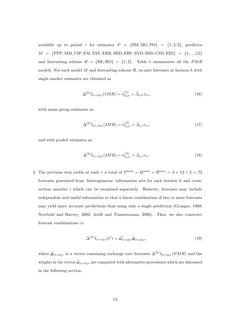available up to period  $\tau$  for estimator  $P = \{SM, MG, PO\} = \{1, 2, 3\}$ , predictor  $M \ = \ \{\mathrm{PPP,MM,UIP,FM, TAY,ERR, SRD, ERV, SVD, BSD, CSD, EID}\} \ = \ \{1,...,12\}$ and forecasting scheme  $R = {RE, RO} = {1, 2}$ . Table 1 summarizes all the  $PMR$ models. For each model  $M$  and forecasting scheme  $R$ , ex-ante forecasts at horizon  $h$  with single market estimates are obtained as

$$
\Delta^{(h)}\widehat{s}_{i\tau+h|\tau}(1MR) = \widehat{\alpha}_{h,i\tau}^{(1)} + \widehat{\beta}_{h,i\tau}x_{i\tau},\tag{16}
$$

with mean group estimates as

$$
\Delta^{(h)}\widehat{s}_{i\tau+h|\tau}(2MR) = \widehat{\alpha}_{h,i\tau}^{(2)} + \bar{\beta}_{h,\tau}x_{i\tau},\tag{17}
$$

and with pooled estimates as

$$
\Delta^{(h)}\widehat{s}_{i\tau+h|\tau}(3MR) = \widehat{\alpha}_{h,i\tau}^{(3)} + \widehat{\beta}_{h,\tau}x_{i\tau}.\tag{18}
$$

3. The previous step yields at each  $\tau$  a total of  $P^{max} \times M^{max} \times R^{max} = 3 \times 12 \times 2 = 72$ forecasts generated from 'heterogeneous' information sets for each horizon  $h$  and crosssection member  $i$  which can be examined separately. However, forecasts may include independent and useful information so that a linear combination of two or more forecasts may yield more accurate predictions than using only a single prediction (Granger, 1989; Newbold and Harvey, 2002; Aiolfi and Timmermann, 2006). Thus, we also construct forecast combinations i.e.

$$
\Delta^{(h)}\widehat{s}_{i\tau+h|\tau}(C) = \widehat{\omega}'_{i\tau+h|\tau}\widehat{\mu}_{i\tau+h|\tau},\tag{19}
$$

where  $\hat{\mu}_{i\tau+h|\tau}$  is a vector containing exchange rate forecasts  $\Delta^{(h)}\hat{s}_{i\tau+h|\tau}(PMR)$  and the weights in the vector  $\hat{\omega}_{i\tau+h|\tau}$  are computed with alternative procedures which are discussed in the following section.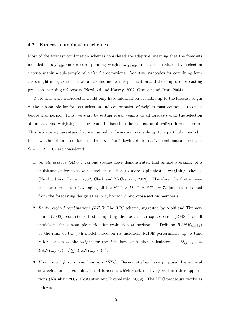#### 4.2 Forecast combination schemes

Most of the forecast combination schemes considered are adaptive, meaning that the forecasts included in  $\hat{\mu}_{i\tau+h|\tau}$  and/or corresponding weights  $\hat{\omega}_{i\tau+h|\tau}$  are based on alternative selection criteria within a sub-sample of realized observations. Adaptive strategies for combining forecasts might mitigate structural breaks and model misspecification and thus improve forecasting precision over single forecasts (Newbold and Harvey, 2002; Granger and Jeon, 2004).

Note that since a forecaster would only have information available up to the forecast origin  $\tau$ , the sub-sample for forecast selection and computation of weights must contain data on or before that period. Thus, we start by setting equal weights to all forecasts until the selection of forecasts and weighting schemes could be based on the evaluation of realized forecast errors. This procedure guarantees that we use only information available up to a particular period  $\tau$ to set weights of forecasts for period  $\tau + h$ . The following 6 alternative combination strategies  $C = \{1, 2, ..., 6\}$  are considered:

- 1. Simple average (AFC): Various studies have demonstrated that simple averaging of a multitude of forecasts works well in relation to more sophisticated weighting schemes (Newbold and Harvey, 2002; Clark and McCracken, 2009). Therefore, the first scheme considered consists of averaging all the  $P^{max} \times M^{max} \times R^{max} = 72$  forecasts obtained from the forecasting design at each  $\tau$ , horizon h and cross-section member i.
- 2. Rank-weighted combinations (RFC): The RFC scheme, suggested by Aiolfi and Timmermann (2006), consists of first computing the root mean square error (RMSE) of all models in the sub-sample period for evaluation at horizon h. Defining  $RANK_{h,i\tau}(j)$ as the rank of the j-th model based on its historical RMSE performance up to time  $\tau$  for horizon h, the weight for the j-th forecast is then calculated as:  $\hat{\omega}_{i,i\tau+h|\tau}$  =  $RANK_{h,i\tau}(j)^{-1}/\sum_{j}RANK_{h,i\tau}(j)^{-1}.$
- 3. Hierarchical forecast combinations (HFC): Recent studies have proposed hierarchical strategies for the combination of forecasts which work relatively well in other applications (Kisinbay, 2007; Costantini and Pappalardo, 2009). The HFC procedure works as follows: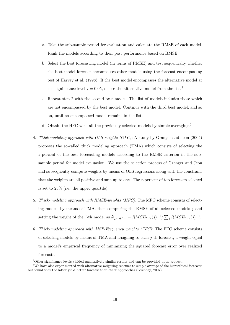- a. Take the sub-sample period for evaluation and calculate the RMSE of each model. Rank the models according to their past performance based on RMSE.
- b. Select the best forecasting model (in terms of RMSE) and test sequentially whether the best model forecast encompasses other models using the forecast encompassing test of Harvey et al. (1998). If the best model encompasses the alternative model at the significance level  $\zeta = 0.05$ , delete the alternative model from the list.<sup>5</sup>
- c. Repeat step 2 with the second best model. The list of models includes those which are not encompassed by the best model. Continue with the third best model, and so on, until no encompassed model remains in the list.
- d. Obtain the HFC with all the previously selected models by simple averaging.<sup>6</sup>
- 4. Thick-modeling approach with OLS weights (OFC): A study by Granger and Jeon (2004) proposes the so-called thick modeling approach (TMA) which consists of selecting the z-percent of the best forecasting models according to the RMSE criterion in the subsample period for model evaluation. We use the selection process of Granger and Jeon and subsequently compute weights by means of OLS regressions along with the constraint that the weights are all positive and sum up to one. The z-percent of top forecasts selected is set to 25% (i.e. the upper quartile).
- 5. Thick-modeling approach with RMSE-weights (MFC): The MFC scheme consists of selecting models by means of TMA, then computing the RMSE of all selected models j and setting the weight of the j-th model as  $\hat{\omega}_{j,i\tau+h|\tau} = RMSE_{h,i\tau}(j)^{-1}/\sum_{j} RMSE_{h,i\tau}(j)^{-1}$ .
- 6. Thick-modeling approach with MSE-Frequency weights (FFC): The FFC scheme consists of selecting models by means of TMA and assigning to each  $j$ -th forecast, a weight equal to a model's empirical frequency of minimizing the squared forecast error over realized

forecasts.

 $5$ Other significance levels yielded qualitatively similar results and can be provided upon request.

<sup>6</sup>We have also experimented with alternative weighting schemes to simple average of the hierarchical forecasts but found that the latter yield better forecast than other approaches (Kisinbay, 2007).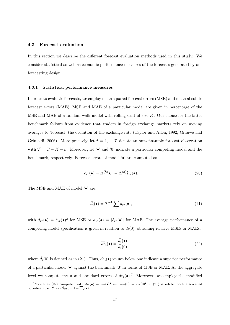#### 4.3 Forecast evaluation

In this section we describe the different forecast evaluation methods used in this study. We consider statistical as well as economic performance measures of the forecasts generated by our forecasting design.

#### 4.3.1 Statistical performance measures

In order to evaluate forecasts, we employ mean squared forecast errors (MSE) and mean absolute forecast errors (MAE). MSE and MAE of a particular model are given in percentage of the MSE and MAE of a random walk model with rolling drift of size  $K$ . Our choice for the latter benchmark follows from evidence that traders in foreign exchange markets rely on moving averages to 'forecast' the evolution of the exchange rate (Taylor and Allen, 1992; Grauwe and Grimaldi, 2006). More precisely, let  $\tilde{\tau} = 1, ..., T$  denote an out-of-sample forecast observation with  $\mathcal{T} = T - K - h$ . Moreover, let '•' and '0' indicate a particular competing model and the benchmark, respectively. Forecast errors of model '•' are computed as

$$
\hat{e}_{i\tilde{\tau}}(\bullet) = \Delta^{(h)} s_{i\tilde{\tau}} - \Delta^{(h)} \hat{s}_{i\tilde{\tau}}(\bullet). \tag{20}
$$

The MSE and MAE of model ' $\bullet$ ' are:

$$
\bar{d}_i(\bullet) = \mathcal{T}^{-1} \sum_{\tilde{\tau}} d_{i\tilde{\tau}}(\bullet), \tag{21}
$$

with  $d_{i\tilde{\tau}}(\bullet) = \hat{e}_{i\tilde{\tau}}(\bullet)^2$  for MSE or  $d_{i\tilde{\tau}}(\bullet) = |\hat{e}_{i\tilde{\tau}}(\bullet)|$  for MAE. The average performance of a competing model specification is given in relation to  $\bar{d}_i(0)$ , obtaining relative MSEs or MAEs:

$$
\overline{dr}_i(\bullet) = \frac{\overline{d}_i(\bullet)}{\overline{d}_i(0)},\tag{22}
$$

where  $\bar{d}_i(0)$  is defined as in (21). Thus,  $\bar{dr}_i(\bullet)$  values below one indicate a superior performance of a particular model  $\bullet$  against the benchmark  $\theta$  in terms of MSE or MAE. At the aggregate level we compute mean and standard errors of  $\overline{dr}_i(\bullet)$ .<sup>7</sup> Moreover, we employ the modified

To Tote that (22) computed with  $d_{i\tilde{\tau}}(\bullet) = \hat{e}_{i\tilde{\tau}}(\bullet)^2$  and  $d_{i\tilde{\tau}}(0) = \hat{e}_{i\tilde{\tau}}(0)^2$  in (21) is related to the so-called out-of-sample  $R^2$  as  $R^2_{OS,i} = 1 - \overline{dr}_i(\bullet)$ .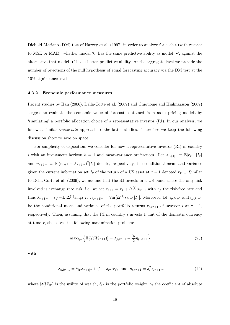Diebold Mariano  $(DM)$  test of Harvey et al. (1997) in order to analyze for each i (with respect to MSE or MAE), whether model '0' has the same predictive ability as model '•', against the alternative that model '•' has a better predictive ability. At the aggregate level we provide the number of rejections of the null hypothesis of equal forecasting accuracy via the DM test at the 10% significance level.

#### 4.3.2 Economic performance measures

Recent studies by Han (2006), Della-Corte et al. (2009) and Chiquoine and Hjalmarsson (2009) suggest to evaluate the economic value of forecasts obtained from asset pricing models by 'simulating' a portfolio allocation choice of a representative investor (RI). In our analysis, we follow a similar univariate approach to the latter studies. Therefore we keep the following discussion short to save on space.

For simplicity of exposition, we consider for now a representative investor (RI) in country i with an investment horizon  $h = 1$  and mean-variance preferences. Let  $\lambda_{\tau+1|\tau} \equiv \mathbb{E}[r_{\tau+1}|I_{\tau}]$ and  $\eta_{\tau+1|\tau} \equiv \mathbb{E}[(r_{\tau+1} - \lambda_{\tau+1|\tau})^2 | I_\tau]$  denote, respectively, the conditional mean and variance given the current information set  $I_{\tau}$  of the return of a US asset at  $\tau + 1$  denoted  $r_{\tau+1}$ . Similar to Della-Corte et al. (2009), we assume that the RI invests in a US bond where the only risk involved is exchange rate risk, i.e. we set  $r_{\tau+1} = r_f + \Delta^{(1)} s_{i\tau+1}$  with  $r_f$  the risk-free rate and thus  $\lambda_{\tau+1|\tau} = r_f + \mathbb{E}[\Delta^{(1)} s_{i\tau+1} | I_\tau], \eta_{\tau+1|\tau} = \mathbb{V}\text{ar}[\Delta^{(1)} s_{i\tau+1} | I_\tau].$  Moreover, let  $\lambda_{p,i\tau+1}$  and  $\eta_{p,i\tau+1}$ be the conditional mean and variance of the portfolio returns  $r_{p,i\tau+1}$  of investor i at  $\tau+1$ , respectively. Then, assuming that the RI in country  $i$  invests 1 unit of the domestic currency at time  $\tau$ , she solves the following maximization problem:

$$
\max_{\delta_{i\tau}} \left\{ \mathbb{E}[\mathcal{U}(W_{i\tau+1})] = \lambda_{p,i\tau+1} - \frac{\gamma_i}{2} \eta_{p,i\tau+1} \right\},\tag{23}
$$

with

$$
\lambda_{p,i\tau+1} = \delta_{i\tau}\lambda_{\tau+1|\tau} + (1 - \delta_{i\tau})r_{f,i} \text{ and } \eta_{p,i\tau+1} = \delta_{i\tau}^2 \eta_{\tau+1|\tau},\tag{24}
$$

where  $\mathcal{U}(W_{i\tau})$  is the utility of wealth,  $\delta_{i\tau}$  is the portfolio weight,  $\gamma_i$  the coefficient of absolute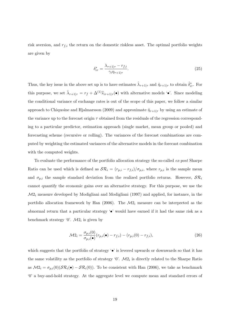risk aversion, and  $r_{f,i}$  the return on the domestic riskless asset. The optimal portfolio weights are given by

$$
\delta_{i\tau}^* = \frac{\lambda_{\tau+1|\tau} - r_{f,i}}{\gamma_i \eta_{\tau+1|\tau}}.\tag{25}
$$

Thus, the key issue in the above set up is to have estimates  $\hat{\lambda}_{\tau+1|\tau}$  and  $\hat{\eta}_{\tau+1|\tau}$  to obtain  $\hat{\delta}^*_{i\tau}$ . For this purpose, we set  $\hat{\lambda}_{\tau+1|\tau} = r_f + \Delta^{(1)}\hat{s}_{i\tau+1|\tau}(\bullet)$  with alternative models ' $\bullet$ '. Since modeling the conditional variance of exchange rates is out of the scope of this paper, we follow a similar approach to Chiquoine and Hjalmarsson (2009) and approximate  $\hat{\eta}_{\tau+1|\tau}$  by using an estimate of the variance up to the forecast origin  $\tau$  obtained from the residuals of the regression corresponding to a particular predictor, estimation approach (single market, mean group or pooled) and forecasting scheme (recursive or rolling). The variances of the forecast combinations are computed by weighting the estimated variances of the alternative models in the forecast combination with the computed weights.

To evaluate the performance of the portfolio allocation strategy the so-called ex-post Sharpe Ratio can be used which is defined as  $\mathcal{SR}_i = (r_{p,i} - r_{f,i})/\sigma_{p,i}$ , where  $r_{p,i}$  is the sample mean and  $\sigma_{p,i}$  the sample standard deviation from the realized portfolio returns. However,  $S\mathcal{R}_i$ cannot quantify the economic gains over an alternative strategy. For this purpose, we use the  $M2_i$  measure developed by Modigliani and Modigliani (1997) and applied, for instance, in the portfolio allocation framework by Han  $(2006)$ . The  $\mathcal{M}2_i$  measure can be interpreted as the abnormal return that a particular strategy '•' would have earned if it had the same risk as a benchmark strategy '0'.  $\mathcal{M}2_i$  is given by

$$
\mathcal{M}2_i = \frac{\sigma_{p,i}(0)}{\sigma_{p,i}(\bullet)} (r_{p,i}(\bullet) - r_{f,i}) - (r_{p,i}(0) - r_{f,i}),
$$
\n(26)

which suggests that the portfolio of strategy  $\cdot \bullet$  is levered upwards or downwards so that it has the same volatility as the portfolio of strategy  $\mathcal{O}'$ .  $\mathcal{M}2_i$  is directly related to the Sharpe Ratio as  $M2_i = \sigma_{p,i}(0)(\mathcal{SR}_i(\bullet) - \mathcal{SR}_i(0))$ . To be consistent with Han (2006), we take as benchmark '0' a buy-and-hold strategy. At the aggregate level we compute mean and standard errors of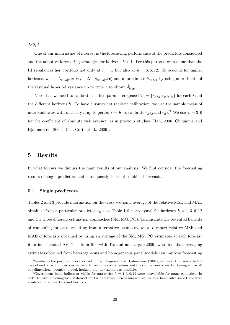$M2_i$ .<sup>8</sup>

One of our main issues of interest is the forecasting performance of the predictors considered and the adaptive forecasting strategies for horizons  $h > 1$ . For this purpose we assume that the RI rebalances her portfolio not only at  $h = 1$  but also at  $h = 3, 6, 12$ . To account for higher horizons, we set  $\hat{\lambda}_{\tau+h|\tau} = r_{hf} + \Delta^{(h)}\hat{s}_{i\tau+h|\tau}(\bullet)$  and approximate  $\hat{\eta}_{\tau+h|\tau}$  by using an estimate of the residual *h*-period variance up to time  $\tau$  to obtain  $\hat{\delta}^*_{h,i\tau}$ .

Note that we need to calibrate the free parameter space  $\Gamma_{h,i} = \{r_{hf,i}, r_{hf}, \gamma_i\}$  for each i and the different horizons  $h$ . To have a somewhat realistic calibration, we use the sample mean of interbank rates with maturity h up to period  $\tau = K$  to calibrate  $r_{hf,i}$  and  $r_{hf}$ .<sup>9</sup> We use  $\gamma_i = 3, 6$ for the coefficient of absolute risk aversion as in previous studies (Han, 2006; Chiquoine and Hjalmarsson, 2009; Della-Corte et al., 2009).

### 5 Results

In what follows we discuss the main results of our analysis. We first consider the forecasting results of single predictors and subsequently those of combined forecasts.

#### 5.1 Single predictors

Tables 2 and 3 provide information on the cross-sectional average of the relative MSE and MAE obtained from a particular predictor  $x_{it}$  (see Table 1 for acronyms) for horizons  $h = 1, 3, 6, 12$ and the three different estimation approaches (SM, MG, PO). To illustrate the potential benefits of combining forecasts resulting from alternative estimates, we also report relative MSE and MAE of forecasts obtained by using an average of the SM, MG, PO estimates at each forecast iteration, denoted AV. This is in line with Trapani and Urga (2009) who find that averaging estimates obtained from heterogeneous and homogeneous panel models can improve forecasting

<sup>8</sup>Similar to the portfolio allocation set up by Chiquoine and Hjalmarsson (2009), we restrict ourselves to the case of no transaction costs as we want to keep the computations and the comparison of market timing across all our dimensions (country, model, horizon, etc) as tractable as possible.

<sup>&</sup>lt;sup>9</sup>Government bond indices or yields for maturities  $h = 1, 3, 6, 12$  were unavailable for many countries. In order to have a 'homogeneous' dataset for the calibration across markets we use interbank rates since these were available for all markets and horizons.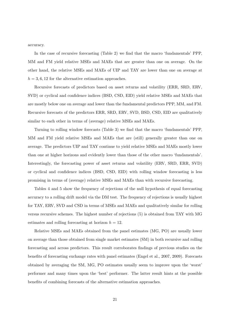accuracy.

In the case of recursive forecasting (Table 2) we find that the macro 'fundamentals' PPP, MM and FM yield relative MSEs and MAEs that are greater than one on average. On the other hand, the relative MSEs and MAEs of UIP and TAY are lower than one on average at  $h = 3, 6, 12$  for the alternative estimation approaches.

Recursive forecasts of predictors based on asset returns and volatility (ERR, SRD, ERV, SVD) or cyclical and confidence indices (BSD, CSD, EID) yield relative MSEs and MAEs that are mostly below one on average and lower than the fundamental predictors PPP, MM, and FM. Recursive forecasts of the predictors ERR, SRD, ERV, SVD, BSD, CSD, EID are qualitatively similar to each other in terms of (average) relative MSEs and MAEs.

Turning to rolling window forecasts (Table 3) we find that the macro 'fundamentals' PPP, MM and FM yield relative MSEs and MAEs that are (still) generally greater than one on average. The predictors UIP and TAY continue to yield relative MSEs and MAEs mostly lower than one at higher horizons and evidently lower than those of the other macro 'fundamentals'. Interestingly, the forecasting power of asset returns and volatility (ERV, SRD, ERR, SVD) or cyclical and confidence indices (BSD, CSD, EID) with rolling window forecasting is less promising in terms of (average) relative MSEs and MAEs than with recursive forecasting.

Tables 4 and 5 show the frequency of rejections of the null hypothesis of equal forecasting accuracy to a rolling drift model via the DM test. The frequency of rejections is usually highest for TAY, ERV, SVD and CSD in terms of MSEs and MAEs and qualitatively similar for rolling versus recursive schemes. The highest number of rejections (5) is obtained from TAY with MG estimates and rolling forecasting at horizon  $h = 12$ .

Relative MSEs and MAEs obtained from the panel estimates (MG, PO) are usually lower on average than those obtained from single market estimates (SM) in both recursive and rolling forecasting and across predictors. This result corroborates findings of previous studies on the benefits of forecasting exchange rates with panel estimates (Engel et al., 2007, 2009). Forecasts obtained by averaging the SM, MG, PO estimates usually seem to improve upon the 'worst' performer and many times upon the 'best' performer. The latter result hints at the possible benefits of combining forecasts of the alternative estimation approaches.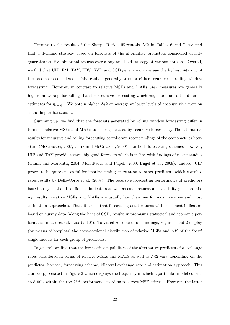Turning to the results of the Sharpe Ratio differentials  $\mathcal{M}2$  in Tables 6 and 7, we find that a dynamic strategy based on forecasts of the alternative predictors considered usually generates positive abnormal returns over a buy-and-hold strategy at various horizons. Overall, we find that UIP, FM, TAY, ERV, SVD and CSD generate on average the highest  $\mathcal{M}2$  out of the predictors considered. This result is generally true for either recursive or rolling window forecasting. However, in contrast to relative MSEs and MAEs,  $\mathcal{M}2$  measures are generally higher on average for rolling than for recursive forecasting which might be due to the different estimates for  $\eta_{\tau+h|\tau}$ . We obtain higher  $\mathcal{M}2$  on average at lower levels of absolute risk aversion  $\gamma$  and higher horizons h.

Summing up, we find that the forecasts generated by rolling window forecasting differ in terms of relative MSEs and MAEs to those generated by recursive forecasting. The alternative results for recursive and rolling forecasting corroborate recent findings of the econometrics literature (McCracken, 2007; Clark and McCracken, 2009). For both forecasting schemes, however, UIP and TAY provide reasonably good forecasts which is in line with findings of recent studies (Chinn and Meredith, 2004; Molodtsova and Papell, 2009; Engel et al., 2009). Indeed, UIP proves to be quite successful for 'market timing' in relation to other predictors which corroborates results by Della-Corte et al. (2009). The recursive forecasting performance of predictors based on cyclical and confidence indicators as well as asset returns and volatility yield promising results: relative MSEs and MAEs are usually less than one for most horizons and most estimation approaches. Thus, it seems that forecasting asset returns with sentiment indicators based on survey data (along the lines of CSD) results in promising statistical and economic performance measures (cf. Lux (2010)). To visualize some of our findings, Figure 1 and 2 display (by means of boxplots) the cross-sectional distribution of relative MSEs and M2 of the 'best' single models for each group of predictors.

In general, we find that the forecasting capabilities of the alternative predictors for exchange rates considered in terms of relative MSEs and MAEs as well as  $\mathcal{M}2$  vary depending on the predictor, horizon, forecasting scheme, bilateral exchange rate and estimation approach. This can be appreciated in Figure 3 which displays the frequency in which a particular model considered falls within the top 25% performers according to a root MSE criteria. However, the latter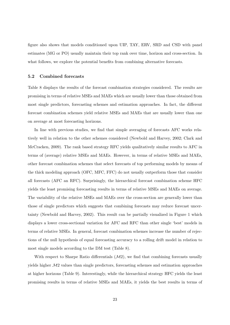figure also shows that models conditioned upon UIP, TAY, ERV, SRD and CSD with panel estimates (MG or PO) usually maintain their top rank over time, horizon and cross-section. In what follows, we explore the potential benefits from combining alternative forecasts.

#### 5.2 Combined forecasts

Table 8 displays the results of the forecast combination strategies considered. The results are promising in terms of relative MSEs and MAEs which are usually lower than those obtained from most single predictors, forecasting schemes and estimation approaches. In fact, the different forecast combination schemes yield relative MSEs and MAEs that are usually lower than one on average at most forecasting horizons.

In line with previous studies, we find that simple averaging of forecasts AFC works relatively well in relation to the other schemes considered (Newbold and Harvey, 2002; Clark and McCracken, 2009). The rank based strategy RFC yields qualitatively similar results to AFC in terms of (average) relative MSEs and MAEs. However, in terms of relative MSEs and MAEs, other forecast combination schemes that select forecasts of top performing models by means of the thick modeling approach (OFC, MFC, FFC) do not usually outperform those that consider all forecasts (AFC an RFC). Surprisingly, the hierarchical forecast combination scheme HFC yields the least promising forecasting results in terms of relative MSEs and MAEs on average. The variability of the relative MSEs and MAEs over the cross-section are generally lower than those of single predictors which suggests that combining forecasts may reduce forecast uncertainty (Newbold and Harvey, 2002). This result can be partially visualized in Figure 1 which displays a lower cross-sectional variation for AFC and RFC than other single 'best' models in terms of relative MSEs. In general, forecast combination schemes increase the number of rejections of the null hypothesis of equal forecasting accuracy to a rolling drift model in relation to most single models according to the DM test (Table 8).

With respect to Sharpe Ratio differentials  $(M2)$ , we find that combining forecasts usually yields higher  $\mathcal{M}2$  values than single predictors, forecasting schemes and estimation approaches at higher horizons (Table 9). Interestingly, while the hierarchical strategy HFC yields the least promising results in terms of relative MSEs and MAEs, it yields the best results in terms of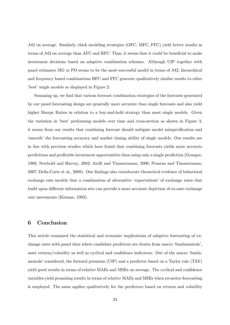M2 on average. Similarly, thick modeling strategies (OFC, MFC, FFC) yield better results in terms of M2 on average than AFC and RFC. Thus, it seems that it could be beneficial to make investment decisions based on adaptive combination schemes. Although UIP together with panel estimates MG or PO seems to be the most successful model in terms of  $\mathcal{M}2$ , hierarchical and frequency based combinations HFC and FFC generate qualitatively similar results to other 'best' single models as displayed in Figure 2.

Summing up, we find that various forecast combination strategies of the forecasts generated by our panel forecasting design are generally more accurate than single forecasts and also yield higher Sharpe Ratios in relation to a buy-and-hold strategy than most single models. Given the variation in 'best' performing models over time and cross-section as shown in Figure 3, it seems from our results that combining forecast should mitigate model misspecification and 'smooth' the forecasting accuracy and market timing ability of single models. Our results are in line with previous studies which have found that combining forecasts yields more accurate predictions and profitable investment opportunities than using only a single prediction (Granger, 1989; Newbold and Harvey, 2002; Aiolfi and Timmermann, 2006; Pesaran and Timmermann, 2007; Della-Corte et al., 2009). Our findings also corroborate theoretical evidence of behavioral exchange rate models that a combination of alternative 'expectations' of exchange rates that build upon different information sets can provide a more accurate depiction of ex-ante exchange rate movements (Kirman, 1993).

## 6 Conclusion

This article examined the statistical and economic implications of adaptive forecasting of exchange rates with panel data where candidate predictors are drawn from macro 'fundamentals', asset returns/volatility as well as cyclical and confidence indicators. Out of the macro 'fundamentals' considered, the forward premium (UIP) and a predictor based on a Taylor rule (TAY) yield good results in terms of relative MAEs and MSEs on average. The cyclical and confidence variables yield promising results in terms of relative MAEs and MSEs when recursive forecasting is employed. The same applies qualitatively for the predictors based on returns and volatility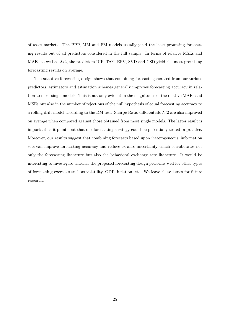of asset markets. The PPP, MM and FM models usually yield the least promising forecasting results out of all predictors considered in the full sample. In terms of relative MSEs and MAEs as well as  $\mathcal{M}2$ , the predictors UIP, TAY, ERV, SVD and CSD yield the most promising forecasting results on average.

The adaptive forecasting design shows that combining forecasts generated from our various predictors, estimators and estimation schemes generally improves forecasting accuracy in relation to most single models. This is not only evident in the magnitudes of the relative MAEs and MSEs but also in the number of rejections of the null hypothesis of equal forecasting accuracy to a rolling drift model according to the DM test. Sharpe Ratio differentials  $\mathcal{M}2$  are also improved on average when compared against those obtained from most single models. The latter result is important as it points out that our forecasting strategy could be potentially tested in practice. Moreover, our results suggest that combining forecasts based upon 'heterogeneous' information sets can improve forecasting accuracy and reduce ex-ante uncertainty which corroborates not only the forecasting literature but also the behavioral exchange rate literature. It would be interesting to investigate whether the proposed forecasting design performs well for other types of forecasting exercises such as volatility, GDP, inflation, etc. We leave these issues for future research.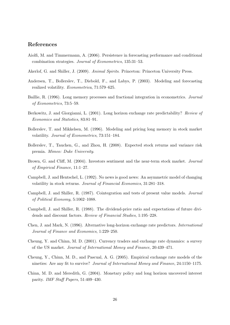## References

- Aiolfi, M. and Timmermann, A. (2006). Persistence in forecasting performance and conditional combination strategies. Journal of Econometrics, 135:31–53.
- Akerlof, G. and Shiller, J. (2009). Animal Spirits. Princeton: Princeton University Press.
- Andersen, T., Bollerslev, T., Diebold, F., and Labys, P. (2003). Modeling and forecasting realized volatility. Econometrica, 71:579–625.
- Baillie, R. (1996). Long memory processes and fractional integration in econometrics. Journal of Econometrics, 73:5–59.
- Berkowitz, J. and Giorgianni, L. (2001). Long horizon exchange rate predictability? Review of Economics and Statistics, 83:81–91.
- Bollerslev, T. and Mikkelsen, M. (1996). Modeling and pricing long memory in stock market volatility. Journal of Econometrics, 73:151–184.
- Bollerslev, T., Tauchen, G., and Zhou, H. (2008). Expected stock returns and variance risk premia. Mimeo: Duke University.
- Brown, G. and Cliff, M. (2004). Investors sentiment and the near-term stock market. Journal of Empirical Finance, 11:1–27.
- Campbell, J. and Hentschel, L. (1992). No news is good news: An asymmetric model of changing volatility in stock returns. Journal of Financial Economics, 31:281–318.
- Campbell, J. and Shiller, R. (1987). Cointegration and tests of present value models. Journal of Political Economy, 5:1062–1088.
- Campbell, J. and Shiller, R. (1988). The dividend-price ratio and expectations of future dividends and discount factors. Review of Financial Studies, 1:195–228.
- Chen, J. and Mark, N. (1996). Alternative long-horizon exchange rate predictors. International Journal of Finance and Economics, 1:229–250.
- Cheung, Y. and Chinn, M. D. (2001). Currency traders and exchange rate dynamics: a survey of the US market. Journal of International Money and Finance, 20:439–471.
- Cheung, Y., Chinn, M. D., and Pascual, A. G. (2005). Empirical exchange rate models of the nineties: Are any fit to survive? Journal of International Money and Finance, 24:1150–1175.
- Chinn, M. D. and Meredith, G. (2004). Monetary policy and long horizon uncovered interest parity. IMF Staff Papers, 51:409–430.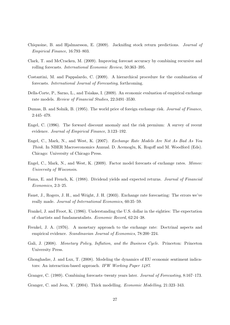- Chiquoine, B. and Hjalmarsson, E. (2009). Jacknifing stock return predictions. Journal of Empirical Finance, 16:793–803.
- Clark, T. and McCracken, M. (2009). Improving forecast accuracy by combining recursive and rolling forecasts. International Economic Review, 50:363–395.
- Costantini, M. and Pappalardo, C. (2009). A hierarchical procedure for the combination of forecasts. International Journal of Forecasting, forthcoming.
- Della-Corte, P., Sarno, L., and Tsiakas, I. (2009). An economic evaluation of empirical exchange rate models. Review of Financial Studies, 22:3491–3530.
- Dumas, B. and Solnik, B. (1995). The world price of foreign exchange risk. Journal of Finance, 2:445–479.
- Engel, C. (1996). The forward discount anomaly and the risk premium: A survey of recent evidence. Journal of Empirical Finance, 3:123–192.
- Engel, C., Mark, N., and West, K. (2007). Exchange Rate Models Are Not As Bad As You Think. In NBER Macroeconomics Annual. D. Acemoglu, K. Rogoff and M. Woodford (Eds). Chicago: University of Chicago Press.
- Engel, C., Mark, N., and West, K. (2009). Factor model forecasts of exchange rates. Mimeo: University of Wisconsin.
- Fama, E. and French, K. (1988). Dividend yields and expected returns. Journal of Financial Economics, 2:3–25.
- Faust, J., Rogers, J. H., and Wright, J. H. (2003). Exchange rate forecasting: The errors we've really made. Journal of International Economics, 60:35–59.
- Frankel, J. and Froot, K. (1986). Understanding the U.S. dollar in the eighties: The expectation of chartists and fundamentalists. Economic Record, 62:24–38.
- Frenkel, J. A. (1976). A monetary approach to the exchange rate: Doctrinal aspects and empirical evidence. Scandinavian Journal of Economics, 78:200–224.
- Gali, J. (2008). Monetary Policy, Inflation, and the Business Cycle. Princeton: Princeton University Press.
- Ghonghadze, J. and Lux, T. (2008). Modeling the dynamics of EU economic sentiment indicators: An interaction-based approach. IFW Working Paper 1487.
- Granger, C. (1989). Combining forecasts–twenty years later. Journal of Forecasting, 8:167–173.
- Granger, C. and Jeon, Y. (2004). Thick modelling. Economic Modelling, 21:323–343.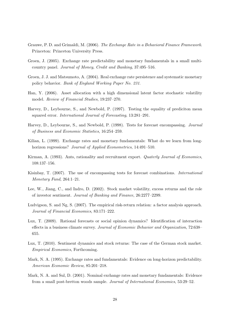- Grauwe, P. D. and Grimaldi, M. (2006). The Exchange Rate in a Behavioral Finance Framework. Princeton: Princeton University Press.
- Groen, J. (2005). Exchange rate predictability and monetary fundamentals in a small multicountry panel. Journal of Money, Credit and Banking, 37:495–516.
- Groen, J. J. and Matsumoto, A. (2004). Real exchange rate persistence and systematic monetary policy behavior. Bank of England Working Paper No. 231.
- Han, Y. (2006). Asset allocation with a high dimensional latent factor stochastic volatility model. Review of Financial Studies, 19:237–270.
- Harvey, D., Leybourne, S., and Newbold, P. (1997). Testing the equality of prediciton mean squared error. International Journal of Forecasting, 13:281–291.
- Harvey, D., Leybourne, S., and Newbold, P. (1998). Tests for forecast encompassing. Journal of Business and Economic Statistics, 16:254–259.
- Kilian, L. (1999). Exchange rates and monetary fundamentals: What do we learn from longhorizon regressions? Journal of Applied Econometrics, 14:491-510.
- Kirman, A. (1993). Ants, rationality and recruitment export. *Quaterly Journal of Economics*, 108:137–156.
- Kisinbay, T. (2007). The use of encompassing tests for forecast combinations. International Monetary Fund, 264:1–21.
- Lee, W., Jiang, C., and Indro, D. (2002). Stock market volatility, excess returns and the role of investor sentiment. Journal of Banking and Finance, 26:2277–2299.
- Ludvigson, S. and Ng, S. (2007). The empirical risk-return relation: a factor analysis approach. Journal of Financial Economics, 83:171–222.
- Lux, T. (2009). Rational forecasts or social opinion dynamics? Identification of interaction effects in a business climate survey. Journal of Economic Behavior and Organization, 72:638– 655.
- Lux, T. (2010). Sentiment dynamics and stock returns: The case of the German stock market. Empirical Economics, Forthcoming.
- Mark, N. A. (1995). Exchange rates and fundamentals: Evidence on long-horizon predictability. American Economic Review, 85:201–218.
- Mark, N. A. and Sul, D. (2001). Nominal exchange rates and monetary fundamentals: Evidence from a small post-bretton woods sample. Journal of International Economics, 53:29–52.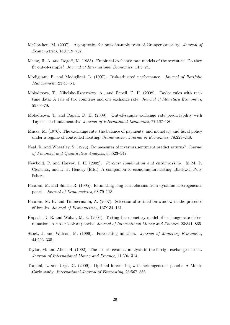- McCracken, M. (2007). Asymptotics for out-of-sample tests of Granger causality. Journal of Econometrics, 140:719–752.
- Meese, R. A. and Rogoff, K. (1983). Empirical exchange rate models of the seventies: Do they fit out-of-sample? Journal of International Economics, 14:3–24.
- Modigliani, F. and Modigliani, L. (1997). Risk-adjusted performance. Journal of Portfolio Management, 23:45–54.
- Molodtsova, T., Nikolsko-Rzhevskyy, A., and Papell, D. H. (2008). Taylor rules with realtime data: A tale of two countries and one exchange rate. Journal of Monetary Economics, 55:63–79.
- Molodtsova, T. and Papell, D. H. (2009). Out-of-sample exchange rate predictability with Taylor rule fundamentals? Journal of International Economics, 77:167–180.
- Mussa, M. (1976). The exchange rate, the balance of payments, and monetary and fiscal policy under a regime of controlled floating. Scandinavian Journal of Economics, 78:229–248.
- Neal, R. and Wheatley, S. (1998). Do measures of investors sentiment predict returns? Journal of Financial and Quantitative Analysis, 33:523–547.
- Newbold, P. and Harvey, I. H. (2002). Forecast combination and encompassing. In M. P. Clements, and D. F. Hendry (Eds.), A companion to economic forecasting. Blackwell Publishers.
- Pesaran, M. and Smith, R. (1995). Estimating long run relations from dynamic heterogeneous panels. Journal of Econometrics, 68:79–113.
- Pesaran, M. H. and Timmermann, A. (2007). Selection of estimation window in the presence of breaks. Journal of Econometrics, 137:134–161.
- Rapach, D. E. and Wohar, M. E. (2004). Testing the monetary model of exchange rate determination: A closer look at panels? Journal of International Money and Finance, 23:841–865.
- Stock, J. and Watson, M. (1999). Forecasting inflation. Journal of Monetary Economics, 44:293–335.
- Taylor, M. and Allen, H. (1992). The use of technical analysis in the foreign exchange market. Journal of International Money and Finance, 11:304–314.
- Trapani, L. and Urga, G. (2009). Optimal forecasting with heterogeneous panels: A Monte Carlo study. International Journal of Forecasting, 25:567–586.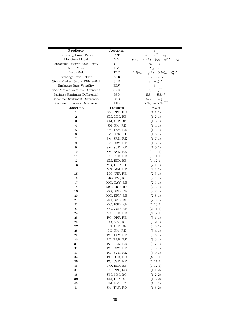| Predictor                            | Acronym            |                                                                       |
|--------------------------------------|--------------------|-----------------------------------------------------------------------|
| Purchasing Power Parity              | PPP                | $\frac{x_{it}}{p_{it} - p_t^{US} - s_{it}}$                           |
| Monetary Model                       | ΜМ                 | $(m_{it} - m_t^{US}) - (y_{it} - y_t^{US}) - s_{it}$                  |
| Uncovered Interest Rate Parity       | UIP                | $g_{h, it} - s_{it}$                                                  |
| Factor Model                         | FM                 | $\hat{F}_{it} - s_{it}$                                               |
| Taylor Rule                          | TAY                | $1.5(\pi_{it} - \pi_t^{US}) - 0.5(\tilde{y}_{it} - \tilde{y}_t^{US})$ |
| Exchange Rate Return                 | ERR                | $s_{it} - s_{it-1}$                                                   |
| Stock Market Return Differential     | SRD                | $q_{it} - q_t^{US}$                                                   |
| Exchange Rate Volatility             | ERV                | $\hat{v}_{it}$                                                        |
| Stock Market Volatility Differential | SVD                | $\hat{\nu}_{it} - \hat{\nu}_t^{US}$                                   |
| Business Sentiment Differential      | BSD                | $BS_{it}-BS^{US}_t$                                                   |
| Consumer Sentiment Differential      | $\mathop{\rm CSD}$ | $CS_{it} - CS_t^{US}$                                                 |
| Economic Indicator Differential      | EID                | $\Delta EI_{it} - \Delta EI_t^{US}$                                   |
| Model no.                            | Features           | PMR                                                                   |
| 1                                    | SM, PPP, RE        | (1, 1, 1)                                                             |
| $\,2$                                | SM, MM, RE         | (1, 2, 1)                                                             |
| 3                                    | SM, UIP, RE        | (1,3,1)                                                               |
| 4                                    | SM, FM, RE         | (1,4,1)                                                               |
| 5                                    | SM, TAY, RE        | (1, 5, 1)                                                             |
| 6                                    | SM, ERR, RE        | (1,6,1)                                                               |
| 7                                    | SM, SRD, RE        | (1, 7, 1)                                                             |
| 8                                    | SM, ERV, RE        | (1, 8, 1)                                                             |
| 9                                    | SM, SVD, RE        | (1, 9, 1)                                                             |
| 10                                   | SM, BSD, RE        | (1, 10, 1)                                                            |
| 11                                   | SM, CSD, RE        | (1, 11, 1)                                                            |
| 12                                   | SM, EID, RE        |                                                                       |
| 13                                   | MG, PPP, RE        | (1, 12, 1)<br>(2,1,1)                                                 |
|                                      | MG, MM, RE         | (2, 2, 1)                                                             |
| 14                                   | MG, UIP, RE        | (2,3,1)                                                               |
| 15                                   |                    |                                                                       |
| 16                                   | MG, FM, RE         | (2,4,1)                                                               |
| 17                                   | MG, TAY, RE        | (2, 5, 1)                                                             |
| 18                                   | MG, ERR, RE        | (2,6,1)                                                               |
| 19                                   | MG, SRD, RE        | (2, 7, 1)                                                             |
| 20                                   | MG, ERV, RE        | (2, 8, 1)                                                             |
| 21                                   | MG, SVD, RE        | (2, 9, 1)                                                             |
| 22                                   | MG, BSD, RE        | (2, 10, 1)                                                            |
| 23                                   | MG, CSD, RE        | (2, 11, 1)                                                            |
| 24                                   | MG, EID, RE        | (2, 12, 1)                                                            |
| 25                                   | PO, PPP, RE        | (3,1,1)                                                               |
| 26                                   | PO, MM, RE         | (3, 2, 1)                                                             |
| 27                                   | PO, UIP, RE        | (3,3,1)                                                               |
| 28                                   | PO, FM, RE         | (3, 4, 1)                                                             |
| 29                                   | PO, TAY, RE        | (3, 5, 1)                                                             |
| 30                                   | PO, ERR, RE        | (3, 6, 1)                                                             |
| 31                                   | PO, SRD, RE        | (3, 7, 1)                                                             |
| 32                                   | PO, ERV, RE        | (3, 8, 1)                                                             |
| 33                                   | PO, SVD, RE        | (3, 9, 1)                                                             |
| 34                                   | PO, BSD, RE        | (3, 10, 1)                                                            |
| 35                                   | PO, CSD, RE        | (3, 11, 1)                                                            |
| 36                                   | PO, EID, RE        | (3, 12, 1)                                                            |
| 37                                   | SM, PPP, RO        | (1, 1, 2)                                                             |
| 38                                   | SM, MM, RO         | (1, 2, 2)                                                             |
| 39                                   | SM, UIP, RO        | (1, 3, 2)                                                             |
| 40                                   | SM, FM, RO         | (1, 4, 2)                                                             |
| 41                                   | SM, TAY, RO        | (1, 5, 2)                                                             |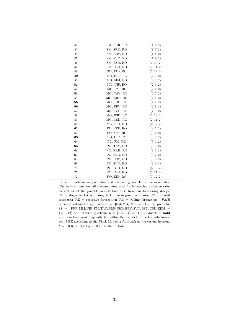| 43<br>SM, SRD, RO<br>(1, 7, 2)<br>44<br>SM, ERV, RO<br>(1, 8, 2)<br>SM, SVD, RO<br>45<br>(1, 9, 2)<br>46<br>SM, BSD, RO<br>(1, 10, 2)<br>47<br>SM, CSD, RO<br>(1, 11, 2)<br>48<br>SM, EID, RO<br>(1, 12, 2)<br>(2, 1, 2)<br>49<br>MG, PPP, RO<br>MG, MM, RO<br>50<br>(2, 2, 2)<br>MG, UIP, RO<br>(2,3,2)<br>51<br>MG, FM, RO<br>52<br>(2,4,2)<br>MG, TAY, RO<br>53<br>(2, 5, 2)<br>(2, 6, 2)<br>54<br>MG, ERR, RO<br>MG, SRD, RO<br>(2, 7, 2)<br>55<br>MG, ERV, RO<br>56<br>(2, 8, 2)<br>57<br>MG, SVD, RO<br>(2, 9, 2)<br>58<br>MG, BSD, RO<br>(2, 10, 2)<br>59<br>MG, CSD, RO<br>(2, 11, 2)<br>MG, EID, RO<br>(2, 12, 2)<br>60<br>61<br>PO, PPP, RO<br>(3, 1, 2)<br>62<br>PO, MM, RO<br>(3, 2, 2)<br>PO, UIP, RO<br>63<br>(3,3,2)<br>PO, FM, RO<br>64<br>(3, 4, 2) |
|----------------------------------------------------------------------------------------------------------------------------------------------------------------------------------------------------------------------------------------------------------------------------------------------------------------------------------------------------------------------------------------------------------------------------------------------------------------------------------------------------------------------------------------------------------------------------------------------------------------------------------------------------------------------------------------------------------------------------------------------------------------------|
|                                                                                                                                                                                                                                                                                                                                                                                                                                                                                                                                                                                                                                                                                                                                                                      |
|                                                                                                                                                                                                                                                                                                                                                                                                                                                                                                                                                                                                                                                                                                                                                                      |
|                                                                                                                                                                                                                                                                                                                                                                                                                                                                                                                                                                                                                                                                                                                                                                      |
|                                                                                                                                                                                                                                                                                                                                                                                                                                                                                                                                                                                                                                                                                                                                                                      |
|                                                                                                                                                                                                                                                                                                                                                                                                                                                                                                                                                                                                                                                                                                                                                                      |
|                                                                                                                                                                                                                                                                                                                                                                                                                                                                                                                                                                                                                                                                                                                                                                      |
|                                                                                                                                                                                                                                                                                                                                                                                                                                                                                                                                                                                                                                                                                                                                                                      |
|                                                                                                                                                                                                                                                                                                                                                                                                                                                                                                                                                                                                                                                                                                                                                                      |
|                                                                                                                                                                                                                                                                                                                                                                                                                                                                                                                                                                                                                                                                                                                                                                      |
|                                                                                                                                                                                                                                                                                                                                                                                                                                                                                                                                                                                                                                                                                                                                                                      |
|                                                                                                                                                                                                                                                                                                                                                                                                                                                                                                                                                                                                                                                                                                                                                                      |
|                                                                                                                                                                                                                                                                                                                                                                                                                                                                                                                                                                                                                                                                                                                                                                      |
|                                                                                                                                                                                                                                                                                                                                                                                                                                                                                                                                                                                                                                                                                                                                                                      |
|                                                                                                                                                                                                                                                                                                                                                                                                                                                                                                                                                                                                                                                                                                                                                                      |
|                                                                                                                                                                                                                                                                                                                                                                                                                                                                                                                                                                                                                                                                                                                                                                      |
|                                                                                                                                                                                                                                                                                                                                                                                                                                                                                                                                                                                                                                                                                                                                                                      |
|                                                                                                                                                                                                                                                                                                                                                                                                                                                                                                                                                                                                                                                                                                                                                                      |
|                                                                                                                                                                                                                                                                                                                                                                                                                                                                                                                                                                                                                                                                                                                                                                      |
|                                                                                                                                                                                                                                                                                                                                                                                                                                                                                                                                                                                                                                                                                                                                                                      |
|                                                                                                                                                                                                                                                                                                                                                                                                                                                                                                                                                                                                                                                                                                                                                                      |
|                                                                                                                                                                                                                                                                                                                                                                                                                                                                                                                                                                                                                                                                                                                                                                      |
|                                                                                                                                                                                                                                                                                                                                                                                                                                                                                                                                                                                                                                                                                                                                                                      |
| PO, TAY, RO<br>(3, 5, 2)<br>65                                                                                                                                                                                                                                                                                                                                                                                                                                                                                                                                                                                                                                                                                                                                       |
| 66<br>PO, ERR, RO<br>(3, 6, 2)                                                                                                                                                                                                                                                                                                                                                                                                                                                                                                                                                                                                                                                                                                                                       |
| PO, SRD, RO<br>67<br>(3, 7, 2)                                                                                                                                                                                                                                                                                                                                                                                                                                                                                                                                                                                                                                                                                                                                       |
| PO, ERV, RO<br>(3, 8, 2)<br>68                                                                                                                                                                                                                                                                                                                                                                                                                                                                                                                                                                                                                                                                                                                                       |
| PO, SVD, RO<br>69<br>(3, 9, 2)                                                                                                                                                                                                                                                                                                                                                                                                                                                                                                                                                                                                                                                                                                                                       |
| (3, 10, 2)<br>70<br>PO, BSD, RO                                                                                                                                                                                                                                                                                                                                                                                                                                                                                                                                                                                                                                                                                                                                      |
| PO, CSD, RO<br>(3, 11, 2)<br>71                                                                                                                                                                                                                                                                                                                                                                                                                                                                                                                                                                                                                                                                                                                                      |
| 72<br>PO, EID, RO<br>(3, 12, 2)                                                                                                                                                                                                                                                                                                                                                                                                                                                                                                                                                                                                                                                                                                                                      |

Table 1: Alternative predictors and forecasting models for exchange rates. The table summarizes all the predictors used for forecasting exchange rates as well as all the possible models that arise from our forecasting design. SM = single market estimates; MG = mean group estimates; PO = pooled estimates;  $RE = recursive forecasting; RO = rolling forecasting.$   $PMR$ refers to estimation approach  $P = \{SM, MG, PO\} = \{1, 2, 3\}$ , predictor  $M \ = \ \{ {\rm PPP}, {\rm MM}, {\rm UIP}, {\rm FM}, {\rm TAY}, {\rm ERR}, {\rm SRD}, {\rm ERV}, {\rm SVD}, {\rm BSD}, {\rm CSD}, {\rm EID} \} \ =$  ${1, ..., 12}$  and forecasting scheme  $R = {RE, RO} = {1, 2}$ . Models in **bold** are those that most frequently fall within the top 25% of models with lowest root MSE according to the Thick Modeling Approach at the various horizons  $h = 1, 3, 6, 12$ . See Figure 3 for further details.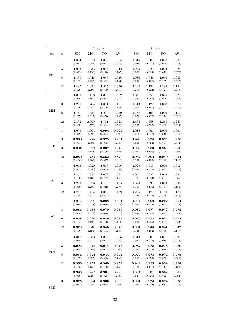|              |                  |                                 |                  | $\bar{dr}$ , MSE |                  | $\bar{dr}$ , MAE |                  |                  |                  |  |
|--------------|------------------|---------------------------------|------------------|------------------|------------------|------------------|------------------|------------------|------------------|--|
| $x_{it}$     | $\boldsymbol{h}$ | ${\rm SM}$                      | $\rm MG$         | $_{\rm PO}$      | AV               | ${\rm SM}$       | MG               | ${\rm PO}$       | $\mathrm{AV}$    |  |
|              | $\mathbf{1}$     | 1.034<br>(0.041)                | 1.010<br>(0.052) | 1.010<br>(0.047) | 1.014<br>(0.047) | 1.015<br>(0.026) | 1.009<br>(0.031) | 1.008<br>(0.029) | 1.009<br>(0.028) |  |
|              | $\sqrt{3}$       | 1.093<br>(0.093)                | 1.033<br>(0.130) | 1.035<br>(0.118) | 1.042<br>(0.105) | 1.043<br>(0.058) | 1.020<br>(0.084) | 1.019<br>(0.076) | 1.024<br>(0.070) |  |
| PPP          | $\,6$            | 1.139<br>(0.102)                | 1.046<br>(0.223) | 1.046<br>(0.221) | 1.056<br>(0.157) | 1.080<br>(0.056) | 1.046<br>(0.128) | 1.046<br>(0.127) | 1.052<br>(0.092) |  |
|              | 12               | 1.497<br>(0.426)                | 1.324<br>(0.708) | 1.325<br>(0.709) | 1.330<br>(0.553) | 1.239<br>(0.219) | 1.192<br>(0.424) | 1.194<br>(0.427) | 1.194<br>(0.338) |  |
|              | 1                | 1.083<br>(0.060)                | 1.116<br>(0.169) | 1.026<br>(0.061) | 1.052<br>(0.050) | 1.041<br>(0.034) | 1.054<br>(0.066) | 1.015<br>(0.028) | 1.028<br>(0.028) |  |
| MM           | $\sqrt{3}$       | 1.282<br>(0.196)                | 1.284<br>(0.440) | 1.091<br>(0.196) | 1.161<br>(0.151) | 1.113<br>(0.074) | 1.121<br>(0.181) | 1.038<br>(0.103) | 1.073<br>(0.080) |  |
|              | 6                | 1.451<br>(0.277)                | 1.357<br>(0.617) | 1.200<br>(0.450) | 1.229<br>(0.235) | 1.188<br>(0.079) | 1.161<br>(0.230) | 1.090<br>(0.174) | 1.111<br>(0.091) |  |
|              | 12               | 2.392<br>(0.985)                | 2.009<br>(1.578) | 1.761<br>(1.294) | 1.628<br>(0.528) | 1.464<br>(0.257) | 1.358<br>(0.537) | 1.268<br>(0.463) | 1.243<br>(0.214) |  |
|              | $\,1$            | 1.009<br>(0.019)                | 1.004<br>(0.027) | 0.994<br>(0.024) | 0.999<br>(0.023) | 1.015<br>(0.015) | 1.005<br>(0.017) | 1.000<br>(0.016) | 1.005<br>(0.015) |  |
|              | $\sqrt{3}$       | 0.960<br>(0.081)                | 0.928<br>(0.083) | 0.925<br>(0.085) | 0.931<br>(0.080) | 0.990<br>(0.063) | 0.974<br>(0.062) | 0.974<br>(0.064) | 0.976<br>(0.062) |  |
| $_{\rm UIP}$ | $\,6$            | 0.907<br>(0.161)                | 0.827<br>(0.158) | 0.837<br>(0.166) | 0.840<br>(0.153) | 0.963<br>(0.092) | 0.933<br>(0.100) | 0.939<br>(0.105) | 0.938<br>(0.098) |  |
|              | 12               | 0.980<br>(0.406)                | 0.784<br>(0.303) | 0.862<br>(0.317) | 0.820<br>(0.310) | 0.962<br>(0.199) | 0.892<br>(0.195) | 0.940<br>(0.196) | 0.914<br>(0.196) |  |
| FM           | $\,1$            | 1.043<br>(0.065)                | 1.020<br>(0.055) | 1.016<br>(0.059) | 1.016<br>(0.057) | 1.025<br>(0.034) | 1.013<br>(0.029) | 1.010<br>(0.033) | 1.012<br>(0.029) |  |
|              | $\sqrt{3}$       | 1.157<br>(0.186)                | 1.054<br>(0.135) | 1.052<br>(0.147) | 1.063<br>(0.140) | 1.057<br>(0.101) | 1.020<br>(0.084) | 1.016<br>(0.097) | 1.021<br>(0.085) |  |
|              | $\,6$            | 1.223<br>(0.336)                | 1.079<br>(0.280) | 1.120<br>(0.312) | 1.105<br>(0.274) | 1.094<br>(0.161) | 1.036<br>(0.145) | 1.054<br>(0.174) | 1.041<br>(0.136) |  |
|              | 12               | 1.787<br>(0.794)                | 1.414<br>(0.730) | 1.350<br>(0.697) | 1.429<br>(0.614) | 1.295<br>(0.345) | 1.171<br>(0.413) | 1.156<br>(0.426) | 1.176<br>(0.333) |  |
|              | $\mathbf{1}$     | 1.005<br>(0.034)                | 0.990<br>(0.038) | 0.988<br>(0.036) | 0.991<br>(0.033) | 1.004<br>(0.030) | 0.992<br>(0.024) | 0.992<br>(0.023) | 0.994<br>(0.024) |  |
| <b>TAY</b>   | $\sqrt{3}$       | $\boldsymbol{0.981}$<br>(0.068) | 0.968<br>(0.078) | 0.970<br>(0.078) | 0.969<br>(0.073) | 0.987<br>(0.046) | 0.977<br>(0.045) | 0.977<br>(0.045) | 0.978<br>(0.043) |  |
|              | 6                | 0.958<br>(0.104)                | 0.926<br>(0.122) | 0.929<br>(0.123) | 0.934<br>(0.111) | 0.970<br>(0.066) | 0.953<br>(0.066) | 0.955<br>(0.067) | 0.958<br>(0.064) |  |
|              | 12               | 0.979<br>(0.196)                | 0.940<br>(0.191) | 0.945<br>(0.194) | 0.949<br>(0.185) | 0.961<br>(0.136) | 0.944<br>(0.152) | 0.947<br>(0.155) | 0.947<br>(0.147) |  |
|              | $\mathbf{1}$     | 1.019<br>(0.025)                | 1.003<br>(0.030) | 1.000<br>(0.027) | 1.005<br>(0.025) | 1.013<br>(0.022) | 1.003<br>(0.019) | 1.001<br>(0.018) | 1.005<br>(0.018) |  |
| ERR          | $\sqrt{3}$       | 0.993<br>(0.054)                | 0.975<br>(0.062) | 0.974<br>(0.062) | 0.978<br>(0.060) | 0.987<br>(0.030) | 0.978<br>(0.036) | 0.978<br>(0.036) | 0.980<br>(0.034) |  |
|              | 6                | 0.954<br>(0.107)                | 0.941<br>(0.097) | 0.944<br>(0.098) | 0.945<br>(0.100) | 0.979<br>(0.061) | 0.973<br>(0.053) | 0.974<br>(0.053) | 0.975<br>(0.056) |  |
|              | 12               | 0.965<br>(0.155)                | 0.952<br>(0.159) | 0.960<br>(0.160) | 0.958<br>(0.158) | 0.942<br>(0.106) | 0.935<br>(0.111) | 0.939<br>(0.111) | 0.938<br>(0.109) |  |
|              | $\mathbf{1}$     | 0.993<br>(0.030)                | 0.985<br>(0.027) | 0.984<br>(0.025) | 0.986<br>(0.026) | 1.003<br>(0.024) | 1.000<br>(0.021) | 0.999<br>(0.020) | 1.000<br>(0.022) |  |
| <b>SRD</b>   | $\sqrt{3}$       | 0.975<br>(0.061)                | 0.964<br>(0.059) | 0.963<br>(0.058) | 0.966<br>(0.061) | 0.981<br>(0.034) | 0.974<br>(0.032) | 0.974<br>(0.032) | 0.976<br>(0.033) |  |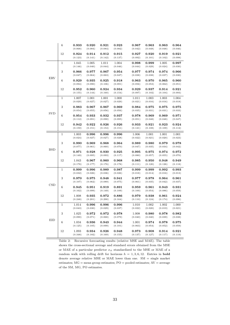|            | 6               | 0.933<br>(0.068) | 0.920<br>(0.084) | 0.921<br>(0.084)       | 0.923<br>(0.082) | 0.967<br>(0.042) | 0.963<br>(0.048)       | 0.963<br>(0.048) | 0.964<br>(0.046)        |
|------------|-----------------|------------------|------------------|------------------------|------------------|------------------|------------------------|------------------|-------------------------|
|            | 12              | 0.924<br>(0.123) | 0.914<br>(0.141) | 0.912<br>(0.142)       | 0.915<br>(0.137) | 0.927<br>(0.092) | 0.920<br>(0.101)       | 0.919<br>(0.102) | 0.921<br>(0.098)        |
|            | $\mathbf{1}$    | 1.045<br>(0.146) | 1.005<br>(0.040) | 1.011<br>(0.044)       | 1.004<br>(0.046) | 0.998<br>(0.044) | 0.999<br>(0.029)       | 1.005<br>(0.024) | 0.997<br>(0.030)        |
|            | 3               | 0.966<br>(0.047) | 0.977<br>(0.064) | 0.967<br>(0.063)       | 0.954<br>(0.047) | 0.977<br>(0.038) | 0.974<br>(0.038)       | 0.974<br>(0.037) | 0.966<br>(0.030)        |
| <b>ERV</b> | 6               | 0.929<br>(0.094) | 0.935<br>(0.090) | 0.925<br>(0.106)       | 0.918<br>(0.091) | 0.963<br>(0.056) | 0.970<br>(0.053)       | 0.965<br>(0.062) | 0.960<br>(0.051)        |
|            | 12              | 0.952<br>(0.155) | 0.960<br>(0.144) | ${ 0.924}$<br>(0.160)  | 0.934<br>(0.154) | 0.929<br>(0.097) | $\,0.937\,$<br>(0.102) | 0.914<br>(0.104) | 0.921<br>(0.093)        |
|            | $\mathbf{1}$    | 1.007<br>(0.029) | 1.001<br>(0.027) | 1.001<br>(0.027)       | 1.000<br>(0.029) | 1.011<br>(0.021) | 1.003<br>(0.016)       | 1.003<br>(0.016) | 1.004<br>(0.018)        |
|            | 3               | 0.983<br>(0.054) | 0.967<br>(0.055) | 0.967<br>(0.056)       | 0.969<br>(0.056) | 0.984<br>(0.035) | 0.975<br>(0.031)       | 0.975<br>(0.031) | 0.975<br>(0.033)        |
| <b>SVD</b> | $6\phantom{1}6$ | 0.954<br>(0.112) | 0.933<br>(0.091) | 0.932<br>(0.090)       | 0.937<br>(0.095) | 0.978<br>(0.051) | 0.969<br>(0.048)       | 0.969<br>(0.048) | 0.971<br>(0.047)        |
|            | 12              | 0.942<br>(0.159) | 0.922<br>(0.151) | 0.926<br>(0.153)       | 0.926<br>(0.151) | 0.933<br>(0.121) | 0.921<br>(0.108)       | 0.923<br>(0.109) | 0.924<br>(0.112)        |
|            | $\mathbf{1}$    | 1.003<br>(0.024) | 0.996<br>(0.027) | 0.996<br>(0.027)       | 0.996<br>(0.028) | 1.006<br>(0.022) | 1.001<br>(0.021)       | 1.001<br>(0.020) | 1.001<br>(0.023)        |
|            | 3               | 0.990<br>(0.077) | 0.969<br>(0.061) | 0.968<br>(0.060)       | 0.964<br>(0.070) | 0.989<br>(0.047) | 0.980<br>(0.035)       | 0.979<br>(0.034) | 0.978<br>(0.042)        |
| <b>BSD</b> | 6               | 0.971<br>(0.149) | 0.928<br>(0.095) | 0.930<br>(0.093)       | 0.925<br>(0.117) | 0.995<br>(0.080) | 0.975<br>(0.057)       | 0.974<br>(0.055) | 0.972<br>(0.070)        |
|            | 12              | 1.043<br>(0.178) | 0.967<br>(0.177) | 0.960<br>(0.176)       | 0.968<br>(0.178) | 0.985<br>(0.111) | 0.950<br>(0.120)       | 0.948<br>(0.126) | 0.949<br>(0.118)        |
|            | $\,1$           | 0.999<br>(0.032) | 0.996<br>(0.026) | 0.989<br>(0.036)       | 0.987<br>(0.026) | 0.999<br>(0.018) | 0.999<br>(0.014)       | 0.992<br>(0.016) | 0.993<br>(0.013)        |
|            | 3               | 0.970<br>(0.107) | 0.975<br>(0.062) | $\,0.948\,$<br>(0.089) | 0.941<br>(0.075) | 0.977<br>(0.061) | 0.978<br>(0.035)       | 0.964<br>(0.042) | 0.961<br>(0.037)        |
| CSD        | $6\phantom{1}6$ | 0.945<br>(0.162) | 0.951<br>(0.099) | 0.919<br>(0.149)       | 0.891<br>(0.109) | 0.959<br>(0.100) | 0.961<br>(0.054)       | 0.943<br>(0.086) | $_{0.931}$<br>(0.059)   |
|            | 12              | 1.008<br>(0.248) | 0.935<br>(0.201) | 0.972<br>(0.290)       | 0.886<br>(0.164) | 0.979<br>(0.110) | 0.938<br>(0.124)       | 0.961<br>(0.174) | 0.924<br>(0.096)        |
|            | $\mathbf{1}$    | 1.014<br>(0.043) | 0.996<br>(0.030) | 0.996<br>(0.029)       | 0.996<br>(0.037) | 1.010<br>(0.022) | 1.002<br>(0.020)       | 1.002<br>(0.019) | 1.000<br>(0.021)        |
|            | 3               | 1.025<br>(0.090) | 0.972<br>(0.071) | 0.972<br>(0.068)       | 0.978<br>(0.079) | 1.008<br>(0.040) | 0.980<br>(0.040)       | 0.978<br>(0.039) | $\bf{0.982}$<br>(0.038) |
| <b>EID</b> | $\,6$           | 1.034<br>(0.125) | 0.936<br>(0.105) | 0.943<br>(0.099)       | 0.944<br>(0.101) | 1.001<br>(0.063) | 0.974<br>(0.054)       | 0.978<br>(0.052) | 0.975<br>(0.059)        |
|            | 12              | 1.093<br>(0.348) | 0.934<br>(0.182) | 0.926<br>(0.169)       | 0.948<br>(0.155) | 0.973<br>(0.137) | 0.908<br>(0.127)       | 0.914<br>(0.117) | 0.921<br>(0.119)        |

Table 2: Recursive forecasting results (relative MSE and MAE). The table shows the cross-sectional average and standard errors obtained from the MSE or MAE of a particular predictor  $\boldsymbol{x}_{it}$  standardized to the MSE or MAE of a random walk with rolling drift for horizons  $h = 1, 3, 6, 12$ . Entries in **bold** denote average relative MSE or MAE lower than one. SM = single market estimates; MG = mean group estimates; PO = pooled estimates; AV = average of the SM, MG, PO estimates.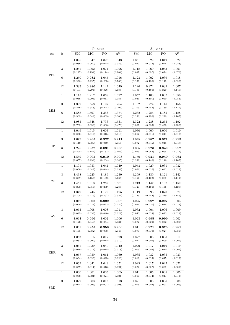|              |                  |                  |                  | $\overline{dr}$ , MAE  |                  |  |                      |                  |                  |                  |
|--------------|------------------|------------------|------------------|------------------------|------------------|--|----------------------|------------------|------------------|------------------|
| $x_{it}$     | $\boldsymbol{h}$ | ${\rm SM}$       | $\rm MG$         | $\bar{dr}$ , MSE<br>PO | $\mathrm{AV}$    |  | $SM$                 | MG               | ${\rm PO}$       | $\mathrm{AV}$    |
|              | $\,1$            | 1.095<br>(0.036) | 1.047<br>(0.060) | 1.026<br>(0.042)       | 1.043<br>(0.045) |  | 1.051<br>(0.027)     | 1.029<br>(0.038) | 1.019<br>(0.026) | 1.027<br>(0.028) |
|              | $\sqrt{3}$       | 1.251<br>(0.127) | 1.092<br>(0.151) | 1.074<br>(0.114)       | 1.096<br>(0.104) |  | 1.118<br>(0.087)     | 1.060<br>(0.097) | 1.053<br>(0.074) | 1.061<br>(0.076) |
| PPP          | $\,6$            | 1.250<br>(0.298) | 0.982<br>(0.225) | 1.045<br>(0.205)       | 1.016<br>(0.163) |  | 1.123<br>(0.139)     | 1.002<br>(0.136) | 1.039<br>(0.119) | 1.018<br>(0.098) |
|              | 12               | 1.383<br>(0.401) | 0.980<br>(0.291) | 1.144<br>(0.376)       | 1.049<br>(0.185) |  | 1.126<br>(0.181)     | 0.972<br>(0.180) | 1.039<br>(0.229) | 1.007<br>(0.140) |
|              | $\mathbf{1}$     | 1.115<br>(0.048) | 1.217<br>(0.208) | 1.068<br>(0.081)       | 1.097<br>(0.084) |  | 1.057<br>(0.041)     | 1.108<br>(0.101) | 1.037<br>(0.050) | 1.050<br>(0.053) |
| MM           | $\sqrt{3}$       | 1.399<br>(0.246) | 1.553<br>(0.543) | 1.197<br>(0.224)       | 1.284<br>(0.207) |  | 1.162<br>(0.109)     | 1.274<br>(0.253) | 1.116<br>(0.139) | 1.156<br>(0.137) |
|              | $\,6\,$          | 1.588<br>(0.309) | 1.597<br>(0.648) | 1.353<br>(0.463)       | 1.374<br>(0.303) |  | 1.232<br>(0.138)     | 1.284<br>(0.296) | 1.185<br>(0.228) | 1.188<br>(0.165) |
|              | 12               | 1.985<br>(0.769) | 1.648<br>(0.898) | 1.736<br>(1.008)       | 1.531<br>(0.478) |  | 1.322<br>(0.361)     | 1.238<br>(0.385) | 1.263<br>(0.420) | 1.192<br>(0.250) |
|              | $\mathbf{1}$     | 1.049<br>(0.033) | 1.015<br>(0.019) | 1.003<br>(0.015)       | 1.011<br>(0.018) |  | 1.030<br>(0.012)     | 1.009<br>(0.011) | 1.000<br>(0.011) | 1.010<br>(0.010) |
| ${\rm UIP}$  | $\,3$            | 1.077<br>(0.140) | 0.965<br>(0.039) | 0.927<br>(0.040)       | 0.971<br>(0.055) |  | 1.045<br>(0.072)     | 0.987<br>(0.045) | 0.971<br>(0.043) | 0.993<br>(0.047) |
|              | $\,6\,$          | 1.225<br>(0.295) | 0.952<br>(0.152) | 0.891<br>(0.133)       | 0.983<br>(0.167) |  | 1.085<br>(0.099)     | 0.976<br>(0.068) | 0.949<br>(0.065) | 0.992<br>(0.072) |
|              | 12               | 1.559<br>(0.657) | 0.905<br>(0.298) | 0.910<br>(0.264)       | 0.998<br>(0.345) |  | 1.150<br>(0.232)     | 0.921<br>(0.146) | 0.940<br>(0.146) | 0.962<br>(0.165) |
| ${\rm FM}$   | $\,1$            | 1.101<br>(0.050) | 1.053<br>(0.047) | 1.044<br>(0.044)       | 1.049<br>(0.039) |  | 1.053<br>(0.026)     | 1.029<br>(0.032) | 1.031<br>(0.032) | 1.032<br>(0.023) |
|              | $\,3$            | 1.438<br>(0.337) | 1.225<br>(0.155) | 1.186<br>(0.132)       | 1.230<br>(0.165) |  | 1.209<br>(0.157)     | 1.139<br>(0.102) | 1.121<br>(0.089) | 1.142<br>(0.111) |
|              | $\,6\,$          | 1.451<br>(0.293) | 1.310<br>(0.355) | 1.269<br>(0.269)       | 1.301<br>(0.265) |  | 1.213<br>(0.127)     | 1.147<br>(0.160) | 1.137<br>(0.136) | 1.152<br>(0.128) |
|              | 12               | 1.349<br>(0.308) | 1.245<br>(0.435) | 1.179<br>(0.367)       | 1.195<br>(0.324) |  | 1.119<br>(0.145)     | 1.093<br>(0.244) | 1.070<br>(0.219) | 1.071<br>(0.185) |
|              | $\,1$            | 1.042<br>(0.050) | 1.000<br>(0.022) | 0.999<br>(0.023)       | 1.007<br>(0.025) |  | 1.025<br>(0.039)     | 0.997<br>(0.020) | 0.997<br>(0.018) | 1.003<br>(0.023) |
| <b>TAY</b>   | $\sqrt{3}$       | 1.063<br>(0.085) | 1.008<br>(0.033) | 1.008<br>(0.040)       | 1.011<br>(0.029) |  | 1.032<br>(0.043)     | 1.004<br>(0.018) | 1.006<br>(0.023) | 1.009<br>(0.021) |
|              | 6                | 1.064<br>(0.123) | 0.996<br>(0.046) | 1.002<br>(0.054)       | 1.006<br>(0.034) |  | $1.023\,$<br>(0.072) | 0.995<br>(0.029) | 0.999<br>(0.032) | 1.002<br>(0.029) |
|              | 12               | 1.031<br>(0.165) | 0.955<br>(0.032) | 0.959<br>(0.038)       | 0.966<br>(0.048) |  | 1.011<br>(0.077)     | 0.971<br>(0.019) | 0.973<br>(0.027) | 0.981<br>(0.036) |
|              | $\mathbf{1}$     | 1.053<br>(0.031) | 1.015<br>(0.009) | 1.017<br>(0.012)       | 1.023<br>(0.010) |  | 1.027<br>(0.022)     | 1.006<br>(0.006) | 1.006<br>(0.009) | 1.011<br>(0.009) |
|              | $\sqrt{3}$       | 1.061<br>(0.019) | 1.039<br>(0.012) | 1.040<br>(0.015)       | 1.042<br>(0.013) |  | 1.029<br>(0.009)     | 1.017<br>(0.009) | 1.019<br>(0.010) | 1.019<br>(0.009) |
| ERR          | $\,6\,$          | 1.067<br>(0.034) | 1.059<br>(0.023) | 1.061<br>(0.025)       | 1.060<br>(0.023) |  | 1.035<br>(0.019)     | 1.032<br>(0.013) | 1.035<br>(0.015) | 1.033<br>(0.013) |
|              | $12\,$           | 1.069<br>(0.057) | 1.041<br>(0.014) | 1.049<br>(0.016)       | 1.051<br>(0.021) |  | 1.025<br>(0.022)     | 1.017<br>(0.007) | 1.022<br>(0.009) | 1.021<br>(0.009) |
|              | $\mathbf{1}$     | 1.030<br>(0.033) | 1.001<br>(0.024) | 1.005<br>(0.021)       | 1.005<br>(0.024) |  | 1.011<br>(0.017)     | 1.005<br>(0.014) | 1.005<br>(0.011) | 1.005<br>(0.013) |
| $_{\rm SRD}$ | $\sqrt{3}$       | 1.029<br>(0.024) | 1.008<br>(0.005) | 1.013<br>(0.007)       | 1.013<br>(0.008) |  | 1.021<br>(0.016)     | 1.006<br>(0.002) | 1.008<br>(0.003) | 1.009<br>(0.006) |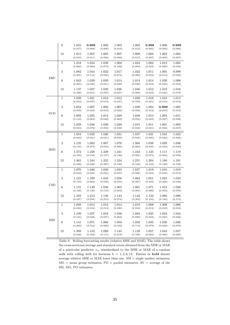|            | $\,6$        | 1.016<br>(0.017) | 0.999<br>(0.008) | 1.002<br>(0.006) | 1.003<br>(0.010) | 1.003<br>(0.012) | 0.998<br>(0.005) | 1.000<br>(0.004) | 0.999<br>(0.006) |
|------------|--------------|------------------|------------------|------------------|------------------|------------------|------------------|------------------|------------------|
|            | 12           | 1.015<br>(0.019) | 1.007<br>(0.011) | 1.005<br>(0.008) | 1.007<br>(0.009) | 1.009<br>(0.017) | 1.004<br>(0.007) | 1.003<br>(0.005) | 1.004<br>(0.007) |
|            | $\,1$        | 1.318<br>(0.962) | 1.034<br>(0.080) | 1.039<br>(0.073) | 1.060<br>(0.182) | 1.024<br>(0.083) | 1.002<br>(0.023) | 1.012<br>(0.020) | 1.005<br>(0.036) |
|            | 3            | 1.082<br>(0.201) | 1.044<br>(0.114) | 1.022<br>(0.029) | 1.017<br>(0.074) | 1.022<br>(0.060) | 1.011<br>(0.053) | 1.005<br>(0.014) | 0.999<br>(0.040) |
| <b>ERV</b> | 6            | 1.043<br>(0.065) | 1.029<br>(0.040) | 1.029<br>(0.041) | 1.014<br>(0.028) | 1.014<br>(0.036) | 1.014<br>(0.019) | 1.020<br>(0.023) | 1.008<br>(0.018) |
|            | 12           | 1.137<br>(0.220) | 1.037<br>(0.051) | 1.030<br>(0.025) | 1.036<br>(0.021) | 1.046<br>(0.066) | 1.012<br>(0.024) | 1.019<br>(0.022) | 1.016<br>(0.018) |
|            | $\mathbf{1}$ | 1.039<br>(0.052) | 1.021<br>(0.027) | 1.012<br>(0.013) | 1.012<br>(0.021) | 1.028<br>(0.030) | 1.018<br>(0.021) | 1.010<br>(0.014) | 1.013<br>(0.012) |
|            | 3            | 1.052<br>(0.059) | 1.007<br>(0.023) | 1.002<br>(0.019) | 1.007<br>(0.023) | 1.030<br>(0.039) | 1.004<br>(0.012) | 0.999<br>(0.010) | 1.005<br>(0.019) |
| SVD        | 6            | 1.092<br>(0.110) | 1.035<br>(0.064) | 1.013<br>(0.042) | 1.029<br>(0.063) | 1.038<br>(0.054) | 1.014<br>(0.043) | 1.004<br>(0.027) | 1.011<br>(0.038) |
|            | 12           | 1.029<br>(0.053) | 1.036<br>(0.074) | 1.020<br>(0.058) | 1.020<br>(0.046) | 1.015<br>(0.048) | 1.011<br>(0.031) | 1.001<br>(0.026) | 1.003<br>(0.027) |
|            | $\,1$        | 1.054<br>(0.043) | 1.032<br>(0.021) | 1.026<br>(0.021) | 1.031<br>(0.029) | 1.037<br>(0.036) | 1.021<br>(0.025) | 1.016<br>(0.024) | 1.022<br>(0.028) |
|            | 3            | 1.135<br>(0.118) | 1.082<br>(0.075) | 1.067<br>(0.054) | 1.076<br>(0.060) | 1.068<br>(0.063) | 1.038<br>(0.035) | 1.028<br>(0.032) | 1.036<br>(0.040) |
| <b>BSD</b> | $\,6$        | 1.372<br>(0.193) | 1.238<br>(0.134) | 1.229<br>(0.127) | 1.241<br>(0.126) | 1.163<br>(0.081) | 1.125<br>(0.075) | 1.111<br>(0.064) | 1.119<br>(0.058) |
|            | 12           | 1.465<br>(0.238) | 1.344<br>(0.226) | 1.325<br>(0.227) | 1.334<br>(0.188) | 1.231<br>(0.100) | 1.204<br>(0.132) | 1.180<br>(0.129) | 1.191<br>(0.109) |
|            | $\mathbf{1}$ | 1.070<br>(0.044) | 1.040<br>(0.023) | 1.020<br>(0.021) | 1.033<br>(0.021) | 1.037<br>(0.026) | 1.018<br>(0.016) | 1.010<br>(0.016) | 1.019<br>(0.015) |
|            | 3            | 1.121<br>(0.110) | 1.109<br>(0.082) | 1.043<br>(0.050) | 1.056<br>(0.055) | 1.064<br>(0.067) | 1.051<br>(0.045) | 1.023<br>(0.028) | 1.033<br>(0.038) |
| CSD        | $\,6$        | 1.131<br>(0.168) | 1.149<br>(0.129) | 1.048<br>(0.110) | 1.065<br>(0.094) | 1.061<br>(0.081) | 1.071<br>(0.066) | 1.019<br>(0.053) | 1.026<br>(0.050) |
|            | 12           | 1.333<br>(0.437) | 1.213<br>(0.256) | 1.146<br>(0.315) | 1.143<br>(0.274) | 1.142<br>(0.202) | 1.122<br>(0.155) | 1.086<br>(0.184) | 1.086<br>(0.174) |
|            | $\mathbf{1}$ | 1.049<br>(0.049) | 1.014<br>(0.018) | 1.012<br>(0.013) | 1.014<br>(0.026) | 1.019<br>(0.034) | 1.008<br>(0.013) | 1.008<br>(0.010) | 1.006<br>(0.016) |
|            | 3            | 1.109<br>(0.151) | 1.037<br>(0.048) | 1.034<br>(0.037) | 1.036<br>(0.063) | 1.063<br>(0.089) | 1.025<br>(0.033) | 1.024<br>(0.023) | 1.024<br>(0.046) |
| <b>EID</b> | $\,6$        | 1.141<br>(0.202) | 1.071<br>(0.124) | 1.066<br>(0.089) | 1.050<br>(0.102) | 1.058<br>(0.113) | 1.035<br>(0.078) | 1.036<br>(0.056) | 1.026<br>(0.070) |
|            | 12           | 1.389<br>(0.648) | 1.132<br>(0.162) | 1.089<br>(0.117) | 1.145<br>(0.219) | 1.138<br>(0.196) | 1.057<br>(0.083) | 1.043<br>(0.060) | 1.057<br>(0.099) |

Table 3: Rolling forecasting results (relative MSE and MAE). The table shows the cross-sectional average and standard errors obtained from the MSE or MAE of a particular predictor  $\boldsymbol{x}_{it}$  standardized to the MSE or MAE of a random walk with rolling drift for horizons  $h = 1, 3, 6, 12$ . Entries in **bold** denote average relative MSE or MAE lower than one.  $SM =$  single market estimates;  $MG =$  mean group estimates;  $PO =$  pooled estimates;  $AV =$  average of the SM, MG, PO estimates.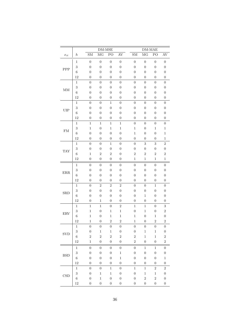|                     |                          | DM-MSE                               |                                      |                                      |                                      |  | $DM-MAE$                             |                                      |                                      |                                      |
|---------------------|--------------------------|--------------------------------------|--------------------------------------|--------------------------------------|--------------------------------------|--|--------------------------------------|--------------------------------------|--------------------------------------|--------------------------------------|
| $\mathcal{x}_{it}$  | $\boldsymbol{h}$         | ${\rm SM}$                           | MG                                   | PO                                   | $\mathrm{AV}$                        |  | ${\rm SM}$                           | $\rm MG$                             | ${\rm PO}$                           | AV                                   |
|                     | $\mathbf 1$              | $\boldsymbol{0}$                     | $\boldsymbol{0}$                     | $\boldsymbol{0}$                     | $\boldsymbol{0}$                     |  | $\boldsymbol{0}$                     | $\boldsymbol{0}$                     | $\overline{0}$                       | $\boldsymbol{0}$                     |
| PPP                 | 3                        | $\boldsymbol{0}$                     | $\boldsymbol{0}$                     | $\boldsymbol{0}$                     | $\boldsymbol{0}$                     |  | $\boldsymbol{0}$                     | $\boldsymbol{0}$                     | $\boldsymbol{0}$                     | $\boldsymbol{0}$                     |
|                     | $\,6$                    | $\boldsymbol{0}$                     | $\boldsymbol{0}$                     | $\boldsymbol{0}$                     | $\boldsymbol{0}$                     |  | $\boldsymbol{0}$                     | $\boldsymbol{0}$                     | $\boldsymbol{0}$                     | $\boldsymbol{0}$                     |
|                     | 12                       | $\overline{0}$                       | $\boldsymbol{0}$                     | $\overline{0}$                       | $\overline{0}$                       |  | $\overline{0}$                       | $\boldsymbol{0}$                     | $\overline{0}$                       | $\boldsymbol{0}$                     |
|                     | $\mathbf 1$              | $\overline{0}$                       | $\boldsymbol{0}$                     | $\boldsymbol{0}$                     | $\overline{0}$                       |  | $\overline{0}$                       | $\boldsymbol{0}$                     | $\boldsymbol{0}$                     | $\boldsymbol{0}$                     |
| $\operatorname{MM}$ | 3                        | $\boldsymbol{0}$                     | $\boldsymbol{0}$                     | $\boldsymbol{0}$                     | $\boldsymbol{0}$                     |  | $\boldsymbol{0}$                     | $\boldsymbol{0}$                     | $\boldsymbol{0}$                     | $\boldsymbol{0}$                     |
|                     | $\,6$                    | $\boldsymbol{0}$                     | $\boldsymbol{0}$                     | $\boldsymbol{0}$                     | $\boldsymbol{0}$                     |  | $\boldsymbol{0}$                     | $\boldsymbol{0}$                     | $\boldsymbol{0}$                     | $\boldsymbol{0}$                     |
|                     | 12                       | $\boldsymbol{0}$                     | $\boldsymbol{0}$                     | $\boldsymbol{0}$                     | $\boldsymbol{0}$                     |  | $\boldsymbol{0}$                     | $\boldsymbol{0}$                     | $\boldsymbol{0}$                     | $\boldsymbol{0}$                     |
|                     | $\,1\,$                  | $\boldsymbol{0}$                     | $\overline{0}$                       | $\mathbf{1}$                         | $\boldsymbol{0}$                     |  | $\boldsymbol{0}$                     | $\boldsymbol{0}$                     | $\overline{0}$                       | $\boldsymbol{0}$                     |
| UIP                 | 3                        | $\overline{0}$                       | $\boldsymbol{0}$                     | $\overline{0}$                       | $\boldsymbol{0}$                     |  | $\overline{0}$                       | $\boldsymbol{0}$                     | $\boldsymbol{0}$                     | $\boldsymbol{0}$                     |
|                     | $\,6$                    | $\boldsymbol{0}$                     | $\boldsymbol{0}$                     | $\boldsymbol{0}$                     | $\boldsymbol{0}$                     |  | $\boldsymbol{0}$                     | $\boldsymbol{0}$                     | $\boldsymbol{0}$                     | $\boldsymbol{0}$                     |
|                     | 12                       | $\boldsymbol{0}$                     | $\boldsymbol{0}$                     | $\boldsymbol{0}$                     | $\boldsymbol{0}$                     |  | $\overline{0}$                       | $\boldsymbol{0}$                     | $\boldsymbol{0}$                     | $\boldsymbol{0}$                     |
|                     | $\,1\,$                  | $\,1$                                | $\,1$                                | $\,1$                                | $\,1$                                |  | $\boldsymbol{0}$                     | $\boldsymbol{0}$                     | $\boldsymbol{0}$                     | $\boldsymbol{0}$                     |
| ${\rm FM}$          | $\sqrt{3}$               | $\,1$                                | $\boldsymbol{0}$                     | $\,1$                                | $\mathbf 1$                          |  | $\,1$                                | $\boldsymbol{0}$                     | $\mathbf 1$                          | $\,1\,$                              |
|                     | $\,6$                    | $\boldsymbol{0}$                     | $\boldsymbol{0}$                     | $\boldsymbol{0}$                     | $\overline{0}$                       |  | $\,1$                                | $\boldsymbol{0}$                     | $\boldsymbol{0}$                     | $\,1$                                |
|                     | 12                       | $\overline{0}$                       | $\boldsymbol{0}$                     | $\boldsymbol{0}$                     | $\overline{0}$                       |  | $\boldsymbol{0}$                     | $\boldsymbol{0}$                     | $\boldsymbol{0}$                     | $\,1$                                |
|                     | $\,1$                    | $\boldsymbol{0}$                     | $\boldsymbol{0}$                     | $\,1$                                | $\boldsymbol{0}$                     |  | $\boldsymbol{0}$                     | 3                                    | 3                                    | $\overline{2}$                       |
| <b>TAY</b>          | $\sqrt{3}$<br>$\sqrt{6}$ | $\boldsymbol{0}$<br>$\,1$            | $\boldsymbol{0}$<br>$\overline{2}$   | $\boldsymbol{0}$<br>$\overline{2}$   | $\boldsymbol{0}$<br>$\boldsymbol{0}$ |  | $\boldsymbol{0}$<br>$\sqrt{2}$       | $\boldsymbol{0}$<br>$\overline{2}$   | $\boldsymbol{0}$<br>$\overline{2}$   | $\boldsymbol{0}$<br>$\overline{2}$   |
|                     | 12                       | $\boldsymbol{0}$                     | $\boldsymbol{0}$                     | $\boldsymbol{0}$                     | $\boldsymbol{0}$                     |  | $\mathbf 1$                          | $\,1$                                | $\,1$                                | $\mathbf 1$                          |
|                     |                          |                                      |                                      |                                      |                                      |  |                                      |                                      |                                      |                                      |
|                     | $\mathbf{1}$             | $\boldsymbol{0}$                     | $\boldsymbol{0}$                     | $\boldsymbol{0}$                     | $\boldsymbol{0}$                     |  | $\boldsymbol{0}$                     | $\boldsymbol{0}$                     | $\boldsymbol{0}$                     | $\boldsymbol{0}$                     |
| $\rm{ERR}$          | 3                        | $\boldsymbol{0}$                     | $\boldsymbol{0}$                     | $\boldsymbol{0}$                     | $\boldsymbol{0}$                     |  | $\boldsymbol{0}$                     | $\boldsymbol{0}$                     | $\boldsymbol{0}$                     | $\boldsymbol{0}$                     |
|                     | $\,6$<br>12              | $\boldsymbol{0}$<br>$\boldsymbol{0}$ | $\boldsymbol{0}$<br>$\boldsymbol{0}$ | $\boldsymbol{0}$<br>$\boldsymbol{0}$ | $\boldsymbol{0}$<br>$\boldsymbol{0}$ |  | $\boldsymbol{0}$<br>$\boldsymbol{0}$ | $\boldsymbol{0}$<br>$\boldsymbol{0}$ | $\boldsymbol{0}$<br>$\boldsymbol{0}$ | $\boldsymbol{0}$<br>$\boldsymbol{0}$ |
|                     | $\,1\,$                  | $\boldsymbol{0}$                     | $\overline{2}$                       | $\overline{2}$                       | $\overline{2}$                       |  | $\boldsymbol{0}$                     | $\boldsymbol{0}$                     | $\,1$                                | $\boldsymbol{0}$                     |
|                     | $\sqrt{3}$               | $\boldsymbol{0}$                     | $\boldsymbol{0}$                     | $\boldsymbol{0}$                     | $\boldsymbol{0}$                     |  | $\boldsymbol{0}$                     | $\boldsymbol{0}$                     | $\overline{0}$                       | $\boldsymbol{0}$                     |
| SRD                 | $\,6$                    | $\boldsymbol{0}$                     | $\boldsymbol{0}$                     | $\boldsymbol{0}$                     | $\boldsymbol{0}$                     |  | $\boldsymbol{0}$                     | $\,1\,$                              | $\boldsymbol{0}$                     | $\boldsymbol{0}$                     |
|                     | 12                       | $\boldsymbol{0}$                     | $\,1$                                | $\boldsymbol{0}$                     | $\boldsymbol{0}$                     |  | $\boldsymbol{0}$                     | $\boldsymbol{0}$                     | $\boldsymbol{0}$                     | $\boldsymbol{0}$                     |
|                     | $\,1$                    | $\,1$                                | $\,1$                                | $\boldsymbol{0}$                     | $\overline{2}$                       |  | $\,1$                                | $\,1$                                | $\boldsymbol{0}$                     | $\sqrt{3}$                           |
|                     | 3                        | $\,1$                                | $\boldsymbol{0}$                     | $\mathbf{1}$                         | $\mathbf{1}$                         |  | $\boldsymbol{0}$                     | $\,1$                                | $\boldsymbol{0}$                     | $\overline{2}$                       |
| <b>ERV</b>          | $\overline{6}$           | $\mathbf{1}$                         | $\boldsymbol{0}$                     | $\,1$                                | $\,1$                                |  | $\mathbf 1$                          | $\boldsymbol{0}$                     | $\,1$                                | $\boldsymbol{0}$                     |
|                     | 12                       | $\mathbf 1$                          | $\boldsymbol{0}$                     | $\overline{2}$                       | $\overline{2}$                       |  | $\mathbf{1}$                         | $\boldsymbol{0}$                     | $\overline{2}$                       | $\boldsymbol{2}$                     |
|                     | $\mathbf{1}$             | $\boldsymbol{0}$                     | $\boldsymbol{0}$                     | $\boldsymbol{0}$                     | $\boldsymbol{0}$                     |  | $\overline{0}$                       | $\boldsymbol{0}$                     | $\boldsymbol{0}$                     | $\overline{0}$                       |
|                     | $\sqrt{3}$               | $\boldsymbol{0}$                     | $\mathbf{1}$                         | $\,1$                                | $\boldsymbol{0}$                     |  | $\boldsymbol{0}$                     | $\,1$                                | $\mathbf{1}$                         | $\boldsymbol{0}$                     |
| <b>SVD</b>          | $\,6$                    | $\sqrt{2}$                           | $\overline{2}$                       | $\overline{2}$                       | $\overline{2}$                       |  | $\sqrt{2}$                           | $\mathbf 1$                          | $\mathbf 1$                          | $\boldsymbol{2}$                     |
|                     | 12                       | $\mathbf{1}$                         | $\boldsymbol{0}$                     | $\overline{0}$                       | $\boldsymbol{0}$                     |  | $\overline{2}$                       | $\boldsymbol{0}$                     | $\boldsymbol{0}$                     | $\sqrt{2}$                           |
|                     | 1                        | $\boldsymbol{0}$                     | $\boldsymbol{0}$                     | $\boldsymbol{0}$                     | $\boldsymbol{0}$                     |  | $\boldsymbol{0}$                     | $\mathbf 1$                          | $\mathbf{1}$                         | $\boldsymbol{0}$                     |
|                     | 3                        | $\boldsymbol{0}$                     | $\boldsymbol{0}$                     | $\boldsymbol{0}$                     | $\,1$                                |  | $\boldsymbol{0}$                     | $\boldsymbol{0}$                     | $\boldsymbol{0}$                     | $\boldsymbol{0}$                     |
| <b>BSD</b>          | $\,6$                    | $\boldsymbol{0}$                     | $\boldsymbol{0}$                     | $\boldsymbol{0}$                     | $\,1$                                |  | $\boldsymbol{0}$                     | $\boldsymbol{0}$                     | $\boldsymbol{0}$                     | $\,1$                                |
|                     | 12                       | $\boldsymbol{0}$                     | $\boldsymbol{0}$                     | $\boldsymbol{0}$                     | $\boldsymbol{0}$                     |  | $\overline{0}$                       | $\boldsymbol{0}$                     | $\overline{0}$                       | $\boldsymbol{0}$                     |
|                     | $\,1$                    | $\boldsymbol{0}$                     | $\boldsymbol{0}$                     | $\mathbf{1}$                         | $\overline{0}$                       |  | $\,1$                                | $\,1$                                | $\boldsymbol{2}$                     | $\,2$                                |
| CSD                 | 3                        | $\boldsymbol{0}$                     | $\mathbf{1}$                         | $\,1$                                | $\boldsymbol{0}$                     |  | $\boldsymbol{0}$                     | $\,1$                                | $\mathbf{1}$                         | $\boldsymbol{0}$                     |
|                     | $\;6\;$                  | $\boldsymbol{0}$                     | $\,1$                                | $\boldsymbol{0}$                     | $\boldsymbol{0}$                     |  | $\boldsymbol{0}$                     | $\overline{2}$                       | $\overline{2}$                       | $\boldsymbol{0}$                     |
|                     | $12\,$                   | $\boldsymbol{0}$                     | $\boldsymbol{0}$                     | $\boldsymbol{0}$                     | $\boldsymbol{0}$                     |  | $\boldsymbol{0}$                     | $\boldsymbol{0}$                     | $\boldsymbol{0}$                     | $\boldsymbol{0}$                     |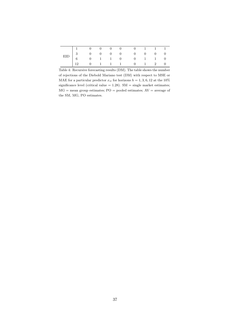| $\begin{tabular}{ cccccccccccc cccc } \hline & & 1 & & 0 & & 0 & & 0 & & 0 & & 0 & & 1 & & 1 & & 1 \\ \hline EID & & 3 & & 0 & & 0 & & 0 & & 0 & & 0 & & 0 & & 0 & & 0 \\ & & 6 & & 0 & & 1 & & 1 & & 0 & & 0 & & 1 & & 1 & & 0 \\ & & 12 & & 0 & & 1 & & 1 & & 1 & & 0 & & 1 & & 2 & & 0 \\ \hline \end{tabular}$ |  |  |  |  |  |
|--------------------------------------------------------------------------------------------------------------------------------------------------------------------------------------------------------------------------------------------------------------------------------------------------------------------|--|--|--|--|--|
|                                                                                                                                                                                                                                                                                                                    |  |  |  |  |  |

Table 4: Recursive forecasting results (DM). The table shows the number of rejections of the Diebold Mariano test (DM) with respect to MSE or MAE for a particular predictor  $x_{it}$  for horizons  $h = 1, 3, 6, 12$  at the 10% significance level (critical value  $= 1.28$ ). SM  $=$  single market estimates;  $MG =$  mean group estimates;  $PO =$  pooled estimates;  $AV =$  average of the SM, MG, PO estimates.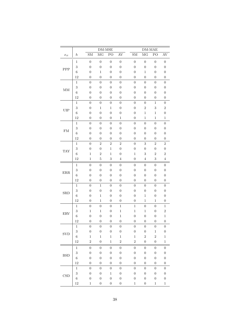|                     |                     | DM-MSE                               |                                  |                                      |                                      |  | $DM-MAE$                             |                                      |                                      |                                      |
|---------------------|---------------------|--------------------------------------|----------------------------------|--------------------------------------|--------------------------------------|--|--------------------------------------|--------------------------------------|--------------------------------------|--------------------------------------|
| $\mathcal{x}_{it}$  | $\boldsymbol{h}$    | ${\rm SM}$                           | MG                               | PO                                   | $\mathrm{AV}$                        |  | ${\rm SM}$                           | $\rm MG$                             | ${\rm PO}$                           | AV                                   |
|                     | $\mathbf 1$         | $\boldsymbol{0}$                     | $\boldsymbol{0}$                 | $\boldsymbol{0}$                     | $\boldsymbol{0}$                     |  | $\boldsymbol{0}$                     | $\boldsymbol{0}$                     | $\overline{0}$                       | $\boldsymbol{0}$                     |
| PPP                 | 3                   | $\boldsymbol{0}$                     | $\boldsymbol{0}$                 | $\boldsymbol{0}$                     | $\boldsymbol{0}$                     |  | $\boldsymbol{0}$                     | $\boldsymbol{0}$                     | $\boldsymbol{0}$                     | $\boldsymbol{0}$                     |
|                     | $\,6$               | $\boldsymbol{0}$                     | $\,1$                            | $\overline{0}$                       | $\boldsymbol{0}$                     |  | $\boldsymbol{0}$                     | $\,1$                                | $\overline{0}$                       | $\boldsymbol{0}$                     |
|                     | 12                  | $\overline{0}$                       | $\boldsymbol{0}$                 | $\overline{0}$                       | $\overline{0}$                       |  | $\overline{0}$                       | $\boldsymbol{0}$                     | $\overline{0}$                       | $\boldsymbol{0}$                     |
|                     | $\mathbf 1$         | $\overline{0}$                       | $\boldsymbol{0}$                 | $\boldsymbol{0}$                     | $\overline{0}$                       |  | $\overline{0}$                       | $\boldsymbol{0}$                     | $\boldsymbol{0}$                     | $\boldsymbol{0}$                     |
| $\operatorname{MM}$ | 3                   | $\boldsymbol{0}$                     | $\boldsymbol{0}$                 | $\boldsymbol{0}$                     | $\boldsymbol{0}$                     |  | $\boldsymbol{0}$                     | $\boldsymbol{0}$                     | $\boldsymbol{0}$                     | $\boldsymbol{0}$                     |
|                     | $\,6$               | $\boldsymbol{0}$                     | $\boldsymbol{0}$                 | $\boldsymbol{0}$                     | $\boldsymbol{0}$                     |  | $\boldsymbol{0}$                     | $\boldsymbol{0}$                     | $\boldsymbol{0}$                     | $\boldsymbol{0}$                     |
|                     | 12                  | $\overline{0}$                       | $\boldsymbol{0}$                 | $\boldsymbol{0}$                     | $\boldsymbol{0}$                     |  | $\boldsymbol{0}$                     | $\boldsymbol{0}$                     | $\boldsymbol{0}$                     | $\boldsymbol{0}$                     |
|                     | $\,1\,$             | $\boldsymbol{0}$                     | $\overline{0}$                   | $\boldsymbol{0}$                     | $\boldsymbol{0}$                     |  | $\boldsymbol{0}$                     | $\boldsymbol{0}$                     | $\mathbf 1$                          | $\boldsymbol{0}$                     |
| ${\rm UIP}$         | 3                   | $\overline{0}$                       | $\,1$                            | $\,1$                                | $\boldsymbol{0}$                     |  | $\overline{0}$                       | $\overline{c}$                       | 3                                    | $\overline{2}$                       |
|                     | $\,6$               | $\boldsymbol{0}$                     | $\boldsymbol{0}$                 | $\boldsymbol{0}$                     | $\boldsymbol{0}$                     |  | $\boldsymbol{0}$                     | $\,1\,$                              | $\,1$                                | $\boldsymbol{0}$                     |
|                     | 12                  | $\overline{0}$                       | $\boldsymbol{0}$                 | $\boldsymbol{0}$                     | $\mathbf 1$                          |  | $\overline{0}$                       | $\,1$                                | $\mathbf 1$                          | $\,1$                                |
|                     | $\,1\,$             | $\boldsymbol{0}$                     | $\boldsymbol{0}$                 | $\boldsymbol{0}$                     | $\boldsymbol{0}$                     |  | $\boldsymbol{0}$                     | $\boldsymbol{0}$                     | $\boldsymbol{0}$                     | $\boldsymbol{0}$                     |
| ${\rm FM}$          | $\sqrt{3}$          | $\boldsymbol{0}$                     | $\boldsymbol{0}$                 | $\boldsymbol{0}$                     | $\boldsymbol{0}$                     |  | $\boldsymbol{0}$                     | $\boldsymbol{0}$                     | $\boldsymbol{0}$                     | $\boldsymbol{0}$                     |
|                     | $\,6$               | $\boldsymbol{0}$                     | $\boldsymbol{0}$                 | $\boldsymbol{0}$                     | $\boldsymbol{0}$                     |  | $\boldsymbol{0}$                     | $\boldsymbol{0}$                     | $\boldsymbol{0}$                     | $\boldsymbol{0}$                     |
|                     | 12                  | $\overline{0}$                       | $\boldsymbol{0}$                 | $\boldsymbol{0}$                     | $\overline{0}$                       |  | $\overline{0}$                       | $\boldsymbol{0}$                     | $\boldsymbol{0}$                     | $\boldsymbol{0}$                     |
|                     | $\,1$               | $\boldsymbol{0}$                     | $\overline{2}$                   | $\overline{2}$                       | $\overline{2}$                       |  | $\boldsymbol{0}$                     | 3                                    | $\overline{2}$                       | $\overline{2}$                       |
| <b>TAY</b>          | $\sqrt{3}$<br>$\,6$ | $\boldsymbol{0}$                     | $\boldsymbol{0}$                 | $\,1$<br>$\,1$                       | $\boldsymbol{0}$<br>$\boldsymbol{0}$ |  | $\boldsymbol{0}$<br>$\,1\,$          | $\boldsymbol{0}$                     | $\boldsymbol{0}$<br>$\overline{2}$   | $\boldsymbol{0}$<br>$\overline{2}$   |
|                     | 12                  | $\,1$<br>$\mathbf{1}$                | $\overline{2}$<br>$\overline{5}$ | 3                                    | $\overline{4}$                       |  | $\boldsymbol{0}$                     | $\sqrt{3}$<br>$\bf 4$                | 3                                    | $\overline{4}$                       |
|                     |                     |                                      |                                  |                                      |                                      |  |                                      |                                      |                                      |                                      |
|                     | $\mathbf{1}$        | $\boldsymbol{0}$                     | $\boldsymbol{0}$                 | $\boldsymbol{0}$                     | $\boldsymbol{0}$                     |  | $\boldsymbol{0}$                     | $\boldsymbol{0}$                     | $\boldsymbol{0}$                     | $\boldsymbol{0}$                     |
| $\rm{ERR}$          | 3                   | $\boldsymbol{0}$                     | $\boldsymbol{0}$                 | $\boldsymbol{0}$                     | $\boldsymbol{0}$                     |  | $\boldsymbol{0}$                     | $\boldsymbol{0}$                     | $\boldsymbol{0}$                     | $\boldsymbol{0}$                     |
|                     | $\,6$               | $\boldsymbol{0}$                     | $\boldsymbol{0}$                 | $\boldsymbol{0}$                     | $\overline{0}$                       |  | $\boldsymbol{0}$                     | $\boldsymbol{0}$                     | $\boldsymbol{0}$                     | $\boldsymbol{0}$                     |
|                     | 12<br>$\,1\,$       | $\boldsymbol{0}$<br>$\boldsymbol{0}$ | $\boldsymbol{0}$<br>$\,1$        | $\boldsymbol{0}$<br>$\boldsymbol{0}$ | $\boldsymbol{0}$<br>$\boldsymbol{0}$ |  | $\boldsymbol{0}$<br>$\boldsymbol{0}$ | $\boldsymbol{0}$<br>$\boldsymbol{0}$ | $\boldsymbol{0}$<br>$\boldsymbol{0}$ | $\boldsymbol{0}$<br>$\boldsymbol{0}$ |
|                     | $\sqrt{3}$          | $\boldsymbol{0}$                     | $\boldsymbol{0}$                 | $\boldsymbol{0}$                     | $\boldsymbol{0}$                     |  | $\boldsymbol{0}$                     | $\boldsymbol{0}$                     | $\boldsymbol{0}$                     | $\boldsymbol{0}$                     |
| SRD                 | $\,6$               | $\boldsymbol{0}$                     | $\,1$                            | $\boldsymbol{0}$                     | $\boldsymbol{0}$                     |  | $\boldsymbol{0}$                     | $\,1\,$                              | $\boldsymbol{0}$                     | $\boldsymbol{0}$                     |
|                     | 12                  | $\boldsymbol{0}$                     | $\,1$                            | $\boldsymbol{0}$                     | $\boldsymbol{0}$                     |  | $\boldsymbol{0}$                     | $\,1$                                | $\mathbf 1$                          | $\boldsymbol{0}$                     |
|                     | $\,1$               | $\boldsymbol{0}$                     | $\boldsymbol{0}$                 | $\boldsymbol{0}$                     | $\,1$                                |  | $\,1$                                | $\boldsymbol{0}$                     | $\boldsymbol{0}$                     | $\,1\,$                              |
|                     | 3                   | $\mathbf 1$                          | $\,1$                            | $\boldsymbol{0}$                     | $\,1$                                |  | $\,1$                                | $\mathbf 1$                          | $\boldsymbol{0}$                     | $\boldsymbol{2}$                     |
| <b>ERV</b>          | 6                   | $\boldsymbol{0}$                     | $\boldsymbol{0}$                 | $\boldsymbol{0}$                     | $\,1$                                |  | $\boldsymbol{0}$                     | $\boldsymbol{0}$                     | $\boldsymbol{0}$                     | $\,1$                                |
|                     | 12                  | $\boldsymbol{0}$                     | $\boldsymbol{0}$                 | $\boldsymbol{0}$                     | $\overline{0}$                       |  | $\boldsymbol{0}$                     | $\boldsymbol{0}$                     | $\boldsymbol{0}$                     | $\boldsymbol{0}$                     |
|                     | $\,1$               | $\boldsymbol{0}$                     | $\boldsymbol{0}$                 | $\boldsymbol{0}$                     | $\boldsymbol{0}$                     |  | $\boldsymbol{0}$                     | $\boldsymbol{0}$                     | $\boldsymbol{0}$                     | $\overline{0}$                       |
|                     | $\sqrt{3}$          | $\boldsymbol{0}$                     | $\boldsymbol{0}$                 | $\boldsymbol{0}$                     | $\boldsymbol{0}$                     |  | $\boldsymbol{0}$                     | $\boldsymbol{0}$                     | $\mathbf{1}$                         | $\boldsymbol{0}$                     |
| <b>SVD</b>          | $\,6$               | $\mathbf 1$                          | $\mathbf{1}$                     | $\mathbf{1}$                         | $\,1$                                |  | $\mathbf 1$                          | $\overline{2}$                       | $\overline{2}$                       | $\,1$                                |
|                     | 12                  | $\overline{2}$                       | $\boldsymbol{0}$                 | $\mathbf 1$                          | $\overline{2}$                       |  | $\overline{2}$                       | $\boldsymbol{0}$                     | $\boldsymbol{0}$                     | $\,1$                                |
|                     | 1                   | $\boldsymbol{0}$                     | $\boldsymbol{0}$                 | $\boldsymbol{0}$                     | $\boldsymbol{0}$                     |  | $\boldsymbol{0}$                     | $\boldsymbol{0}$                     | $\boldsymbol{0}$                     | $\boldsymbol{0}$                     |
|                     | 3                   | $\boldsymbol{0}$                     | $\boldsymbol{0}$                 | $\boldsymbol{0}$                     | $\boldsymbol{0}$                     |  | $\boldsymbol{0}$                     | $\boldsymbol{0}$                     | $\boldsymbol{0}$                     | $\boldsymbol{0}$                     |
| <b>BSD</b>          | $\,6$               | $\boldsymbol{0}$                     | $\boldsymbol{0}$                 | $\boldsymbol{0}$                     | $\boldsymbol{0}$                     |  | $\boldsymbol{0}$                     | $\boldsymbol{0}$                     | $\boldsymbol{0}$                     | $\boldsymbol{0}$                     |
|                     | 12                  | $\boldsymbol{0}$                     | $\boldsymbol{0}$                 | $\boldsymbol{0}$                     | $\overline{0}$                       |  | $\boldsymbol{0}$                     | $\boldsymbol{0}$                     | $\boldsymbol{0}$                     | $\boldsymbol{0}$                     |
|                     | $\,1$               | $\boldsymbol{0}$                     | $\boldsymbol{0}$                 | $\boldsymbol{0}$                     | $\boldsymbol{0}$                     |  | $\overline{0}$                       | $\boldsymbol{0}$                     | $\boldsymbol{0}$                     | $\boldsymbol{0}$                     |
|                     | 3                   | $\boldsymbol{0}$                     | $\boldsymbol{0}$                 | 1                                    | $\boldsymbol{0}$                     |  | $\boldsymbol{0}$                     | $\boldsymbol{0}$                     | $\boldsymbol{0}$                     | $\boldsymbol{0}$                     |
| CSD                 | $\;6\;$             | $\boldsymbol{0}$                     | $\boldsymbol{0}$                 | $\boldsymbol{0}$                     | $\boldsymbol{0}$                     |  | $\boldsymbol{0}$                     | $\boldsymbol{0}$                     | $\boldsymbol{0}$                     | $\boldsymbol{0}$                     |
|                     | $12\,$              | $\,1$                                | $\boldsymbol{0}$                 | $\boldsymbol{0}$                     | $\boldsymbol{0}$                     |  | $\mathbf 1$                          | $\boldsymbol{0}$                     | $\mathbf{1}$                         | $\,1$                                |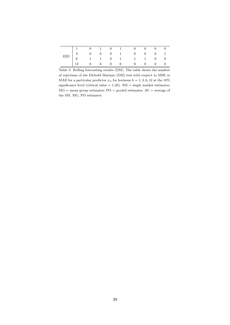|  |  |  | $\begin{tabular}{ cccccccccccc cccc cccc } \hline & & 1 & & 0 & & 1 & & 0 & & 1 & & 0 & & 0 & & 0 & & 0 \\ \hline EID & & 3 & & 0 & & 0 & & 0 & & 1 & & 0 & & 0 & & 0 & & 1 \\ & & 6 & & 1 & & 1 & & 0 & & 1 & & 1 & & 1 & & 0 & & 0 \\ & & 12 & & 0 & & 0 & & 0 & & 0 & & 0 & & 0 & & 0 & & 0 \\ \hline \end{tabular}$ |  |  |
|--|--|--|-------------------------------------------------------------------------------------------------------------------------------------------------------------------------------------------------------------------------------------------------------------------------------------------------------------------------|--|--|
|  |  |  |                                                                                                                                                                                                                                                                                                                         |  |  |

Table 5: Rolling forecasting results (DM). The table shows the number of rejections of the Diebold Mariano (DM) test with respect to MSE or MAE for a particular predictor  $x_{it}$  for horizons  $h = 1, 3, 6, 12$  at the 10% significance level (critical value  $= 1.28$ ). SM  $=$  single market estimates;  $MG =$  mean group estimates;  $PO =$  pooled estimates;  $AV =$  average of the SM, MG, PO estimates.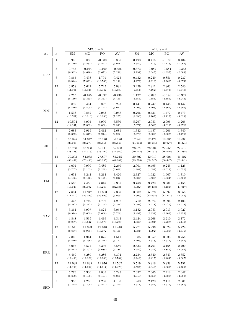|            |                  |                    |                     | $\mathcal{M}2, \gamma = 3$ |                       |                    |                      | $\mathcal{M}2, \gamma = 6$ |                      |
|------------|------------------|--------------------|---------------------|----------------------------|-----------------------|--------------------|----------------------|----------------------------|----------------------|
| $x_{it}$   | $\boldsymbol{h}$ | ${\rm SM}$         | MG                  | ${\rm PO}$                 | AV                    | ${\rm SM}$         | MG                   | ${\rm PO}$                 | $\mathrm{AV}$        |
|            | $\mathbf{1}$     | 0.996<br>(4.719)   | 0.830<br>(2.233)    | $-0.300$<br>(2.227)        | 0.808<br>(3.928)      | 0.498<br>(2.359)   | 0.415<br>(1.116)     | $-0.150$<br>(1.113)        | 0.404<br>(1.964)     |
|            | $\sqrt{3}$       | 0.745<br>(6.382)   | $-0.164$<br>(4.690) | $-1.169$<br>(3.671)        | $-0.686$<br>(5.216)   | 0.373<br>(3.191)   | $-0.082$<br>(2.345)  | $-0.584$<br>(1.835)        | $-0.343$<br>(2.608)  |
| PPP        | 6                | 0.865<br>(8.544)   | 0.498<br>(7.821)    | 1.701<br>(10.536)          | 0.475<br>(8.148)      | 0.432<br>(4.272)   | 0.249<br>(3.910)     | 0.851<br>(5.268)           | 0.237<br>(4.074)     |
|            | 12               | 6.858<br>(11.301)  | 5.622<br>(14.324)   | 5.725<br>(13.747)          | 5.081<br>(10.680)     | 3.429<br>(5.651)   | 2.811<br>(7.162)     | 2.863<br>(6.873)           | 2.540<br>(5.340)     |
|            | $\,1$            | 2.255<br>(5.110)   | $-0.185$<br>(2.362) | $-0.392$<br>(4.363)        | $-0.739$<br>(4.489)   | 1.127<br>(2.555)   | $-0.093$<br>(1.181)  | $-0.196$<br>(2.181)        | $-0.369$<br>(2.244)  |
|            | $\sqrt{3}$       | 0.882<br>(8.410)   | 0.494<br>(4.805)    | 0.897<br>(4.722)           | 0.293<br>(5.011)      | 0.441<br>(4.205)   | 0.247<br>(2.403)     | 0.448<br>(2.361)           | 0.147<br>(2.505)     |
| MM         | $\,6$            | 1.593<br>(13.707)  | 0.862<br>(10.213)   | 2.953<br>(10.230)          | 0.958<br>(7.257)      | 0.796<br>(6.853)   | 0.431<br>(5.107)     | 1.477<br>(5.115)           | 0.479<br>(3.629)     |
|            | 12               | 10.594<br>(14.147) | 5.905<br>(7.332)    | 5.990<br>(8.038)           | 6.530<br>(9.941)      | 5.297<br>(7.074)   | 2.953<br>(3.666)     | 2.995<br>(4.019)           | 3.265<br>(4.971)     |
|            | $\,1$            | 2.683<br>(5.352)   | 2.915<br>(4.617)    | 2.412<br>(5.214)           | 2.681<br>(4.952)      | 1.342<br>(2.676)   | 1.457<br>(2.309)     | 1.206<br>(2.607)           | 1.340<br>(2.476)     |
|            | $\sqrt{3}$       | 35.895<br>(28.008) | 34.947<br>(25.270)  | 37.170<br>(25.854)         | 36.126<br>(26.643)    | 17.948<br>(14.004) | 17.474<br>(12.635)   | 18.585<br>(12.927)         | 18.063<br>(13.321)   |
| <b>UIP</b> | $\,6$            | 53.758<br>(38.228) | 53.968<br>(32.313)  | 55.111<br>(33.292)         | 55.038<br>(34.569)    | 26.879<br>(19.114) | 26.984<br>(16.157)   | 27.555<br>(16.646)         | 27.519<br>(17.285)   |
|            | 12               | 79.203<br>(58.432) | 84.038<br>(70.493)  | 77.807<br>(60.895)         | 82.215<br>(64.682)    | 39.602<br>(29.216) | 42.019<br>(35.247)   | 38.904<br>(30.447)         | 41.107<br>(32.341)   |
|            | $\mathbf{1}$     | 4.001<br>(3.767)   | 0.990<br>(2.103)    | 0.489<br>(1.239)           | 2.250<br>(3.099)      | 2.001<br>(1.884)   | 0.495<br>(1.051)     | 0.245<br>(0.619)           | 1.125<br>(1.550)     |
|            | $\sqrt{3}$       | 4.654<br>(4.165)   | 3.244<br>(3.173)    | 3.214<br>(2.129)           | 3.420<br>(3.012)      | 2.327<br>(2.082)   | 1.622<br>(1.586)     | 1.607<br>(1.064)           | 1.710<br>(1.506)     |
| ${\rm FM}$ | $\,6\,$          | 7.560<br>(16.043)  | 7.456<br>(20.997)   | 7.618<br>(18.263)          | 8.305<br>(22.034)     | 3.780<br>(8.022)   | 3.728<br>(10.498)    | 3.809<br>(9.131)           | 4.153<br>(11.017)    |
|            | 12               | 7.604<br>(11.012)  | 11.947<br>(25.396)  | 11.393<br>(26.895)         | 7.306<br>(9.969)      | 3.802<br>(5.506)   | 5.973<br>(12.698)    | 5.697<br>(13.447)          | 3.653<br>(4.985)     |
|            | $\mathbf{1}$     | 3.423<br>(5.387)   | 4.749<br>(5.237)    | 4.792<br>(5.154)           | 4.207<br>(5.236)      | 1.712<br>(2.694)   | 2.374<br>(2.618)     | 2.396<br>(2.577)           | 2.103<br>(2.618)     |
|            | $\sqrt{3}$       | 6.364<br>(6.914)   | 5.907<br>(5.669)    | 5.825<br>(5.606)           | 6.053<br>(5.706)      | 3.182<br>(3.457)   | 2.953<br>(2.834)     | 2.913<br>(2.803)           | 3.027<br>(2.853)     |
| <b>TAY</b> | 6                | 4.848<br>(9.937)   | 4.535<br>(10.647)   | 4.419<br>(10.573)          | $4.344\,$<br>(10.293) | 2.424<br>(4.969)   | $2.268\,$<br>(5.324) | 2.210<br>(5.287)           | $2.172\,$<br>(5.146) |
|            | 12               | 10.541<br>(8.667)  | 11.993<br>(9.985)   | 12.048<br>(10.072)         | 11.448<br>(9.430)     | 5.271<br>(4.334)   | 5.996<br>(4.992)     | 6.024<br>(5.036)           | 5.724<br>(4.715)     |
|            | $\mathbf{1}$     | 2.010<br>(4.810)   | 1.314<br>(5.356)    | 1.675<br>(5.348)           | 1.511<br>(5.177)      | 1.005<br>(2.405)   | 0.657<br>(2.678)     | 0.838<br>(2.674)           | 0.756<br>(2.589)     |
|            | 3                | 5.066<br>(5.513)   | 5.521<br>(5.367)    | 6.336<br>(5.689)           | 5.580<br>(5.388)      | 2.533<br>(2.756)   | 2.761<br>(2.684)     | 3.168<br>(2.845)           | 2.790<br>(2.694)     |
| ERR        | 6                | 5.469<br>(12.498)  | 5.280<br>(12.829)   | 5.286<br>(12.968)          | 5.304<br>(12.734)     | 2.734<br>(6.249)   | 2.640<br>(6.415)     | 2.643<br>(6.484)           | 2.652<br>(6.367)     |
|            | 12               | 11.039<br>(11.193) | 11.835<br>(11.692)  | 11.676<br>(11.617)         | 11.502<br>(11.470)    | 5.519<br>(5.597)   | 5.918<br>(5.846)     | 5.838<br>(5.809)           | 5.751<br>(5.735)     |
|            | $\mathbf{1}$     | 5.273<br>(5.680)   | 5.330<br>(5.106)    | 4.835<br>(5.161)           | 5.293<br>(5.200)      | 2.637<br>(2.840)   | 2.665<br>(2.553)     | 2.418<br>(2.580)           | 2.647<br>(2.600)     |
| SRD        | 3                | 3.935<br>(7.342)   | 4.256<br>(7.308)    | 4.238<br>(7.221)           | 4.130<br>(7.320)      | 1.968<br>(3.671)   | 2.128<br>(3.654)     | 2.119<br>(3.611)           | 2.065<br>(3.660)     |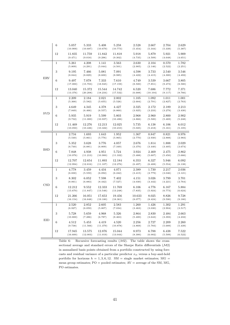|            | $\,6$        | 5.057<br>(10.909)  | 5.333<br>(10.687)  | 5.408<br>(10.679)  | 5.258<br>(10.773)  | 2.528<br>(5.454)  | 2.667<br>(5.344)  | 2.704<br>(5.339) | 2.629<br>(5.387) |
|------------|--------------|--------------------|--------------------|--------------------|--------------------|-------------------|-------------------|------------------|------------------|
|            | 12           | 11.835<br>(9.471)  | 11.759<br>(9.018)  | 11.842<br>(9.296)  | 11.818<br>(9.302)  | 5.918<br>(4.735)  | 5.879<br>(4.509)  | 5.921<br>(4.648) | 5.909<br>(4.651) |
|            | $\mathbf{1}$ | 5.261<br>(5.809)   | 4.208<br>(4.291)   | 1.141<br>(5.044)   | 3.563<br>(4.501)   | 2.630<br>(2.905)  | 2.104<br>(2.146)  | 0.570<br>(2.522) | 1.782<br>(2.251) |
|            | 3            | 9.195<br>(8.844)   | 7.466<br>(8.829)   | 5.081<br>(8.600)   | 7.091<br>(8.985)   | 4.598<br>(4.422)  | 3.733<br>(4.415)  | 2.540<br>(4.300) | 3.546<br>(4.492) |
| <b>ERV</b> | $\,6$        | 9.497<br>(17.000)  | 7.078<br>(15.703)  | 7.333<br>(18.945)  | 7.610<br>(17.159)  | 4.749<br>(8.500)  | 3.539<br>(7.851)  | 3.667<br>(9.473) | 3.805<br>(8.580) |
|            | 12           | 13.040<br>(13.376) | 15.372<br>(20.208) | 15.544<br>(18.234) | 14.742<br>(17.532) | 6.520<br>(6.688)  | 7.686<br>(10.104) | 7.772<br>(9.117) | 7.371<br>(8.766) |
|            | $\mathbf{1}$ | 2.209<br>(5.368)   | 2.184<br>(5.582)   | 2.021<br>(5.655)   | 2.002<br>(5.526)   | 1.105<br>(2.684)  | 1.092<br>(2.791)  | 1.011<br>(2.827) | 1.001<br>(2.763) |
|            | $\,3$        | 4.649<br>(7.849)   | 4.345<br>(6.466)   | 4.378<br>(6.557)   | 4.427<br>(6.860)   | 2.325<br>(3.925)  | 2.172<br>(3.233)  | 2.189<br>(3.279) | 2.213<br>(3.430) |
| <b>SVD</b> | $\,6$        | 5.935<br>(9.732)   | 5.919<br>(11.000)  | 5.599<br>(10.937)  | 5.803<br>(10.496)  | 2.968<br>(4.866)  | 2.960<br>(5.500)  | 2.800<br>(5.469) | 2.902<br>(5.248) |
|            | 12           | 11.469<br>(10.050) | 12.276<br>(10.436) | 12.213<br>(10.322) | 12.025<br>(10.210) | 5.735<br>(5.025)  | 6.138<br>(5.218)  | 6.106<br>(5.161) | 6.012<br>(5.105) |
|            | $\mathbf{1}$ | 2.734<br>(5.540)   | 1.693<br>(5.861)   | 1.643<br>(5.776)   | 1.952<br>(5.965)   | 1.367<br>(2.770)  | 0.847<br>(2.930)  | 0.821<br>(2.888) | 0.976<br>(2.983) |
|            | 3            | 5.352<br>(6.740)   | 3.628<br>(6.881)   | 3.776<br>(6.809)   | 4.057<br>(7.349)   | 2.676<br>(3.370)  | 1.814<br>(3.440)  | 1.888<br>(3.405) | 2.029<br>(3.674) |
| <b>BSD</b> | $\,6$        | 7.848<br>(10.976)  | 4.938<br>(11.213)  | 4.951<br>(10.900)  | 5.724<br>(11.332)  | 3.924<br>(5.488)  | 2.469<br>(5.607)  | 2.475<br>(5.450) | 2.862<br>(5.666) |
|            | 12           | 12.707<br>(12.994) | 12.654<br>(12.816) | 11.893<br>(11.107) | 12.184<br>(12.276) | 6.353<br>(6.497)  | 6.327<br>(6.408)  | 5.946<br>(5.554) | 6.092<br>(6.138) |
|            | $\mathbf{1}$ | 4.778<br>(6.830)   | 3.459<br>(5.559)   | 4.434<br>(6.092)   | 4.071<br>(6.242)   | 2.389<br>(3.415)  | 1.730<br>(2.779)  | 2.217<br>(3.046) | 2.036<br>(3.121) |
|            | 3            | 8.302<br>(8.061)   | 6.052<br>(6.883)   | 7.598<br>(8.442)   | 7.402<br>(7.527)   | 4.151<br>(4.030)  | 3.026<br>(3.442)  | 3.799<br>(4.221) | 3.701<br>(3.764) |
| CSD        | $\,6$        | 12.212<br>(15.670) | 9.552<br>(11.847)  | 12.333<br>(13.546) | 11.769<br>(13.248) | 6.106<br>(7.835)  | 4.776<br>(5.924)  | 6.167<br>(6.773) | 5.884<br>(6.624) |
|            | 12           | 21.266<br>(16.154) | 16.051<br>(16.848) | 17.653<br>(19.180) | 19.456<br>(18.361) | 10.633<br>(8.077) | 8.025<br>(8.424)  | 8.826<br>(9.590) | 9.728<br>(9.180) |
|            | $\,1$        | 2.520<br>(6.927)   | 2.852<br>(6.059)   | 2.605<br>(5.807)   | 2.583<br>(7.034)   | 1.260<br>(3.463)  | 1.426<br>(3.030)  | 1.302<br>(2.904) | 1.291<br>(3.517) |
| <b>EID</b> | 3            | 5.728<br>(10.800)  | 5.659<br>(7.286)   | 4.968<br>(6.787)   | 5.326<br>(8.463)   | 2.864<br>(5.400)  | 2.830<br>(3.643)  | 2.484<br>(3.393) | 2.663<br>(4.232) |
|            | $\,6$        | 4.512<br>(9.738)   | 5.453<br>(11.566)  | 4.419<br>(11.379)  | 4.520<br>(10.878)  | 2.256<br>(4.869)  | 2.727<br>(5.783)  | 2.209<br>(5.689) | 2.260<br>(5.439) |
|            | 12           | 17.945<br>(16.600) | 13.575<br>(12.003) | 12.876<br>(11.019) | 15.044<br>(13.044) | 8.973<br>(8.300)  | 6.788<br>(6.002)  | 6.438<br>(5.509) | 7.522<br>(6.522) |

Table 6: Recursive forecasting results  $(M2)$ . The table shows the crosssectional average and standard errors of the Sharpe Ratio differentials  $(\mathcal{M}2)$ in annualized basis points obtained from a portfolio constructed by using forecasts and residual variance of a particular predictor  $\boldsymbol{x}_{it}$  versus a buy-and-hold portfolio for horizons  $h = 1, 3, 6, 12$ . SM = single market estimates; MG = mean group estimates; PO = pooled estimates; AV = average of the SM, MG, PO estimates.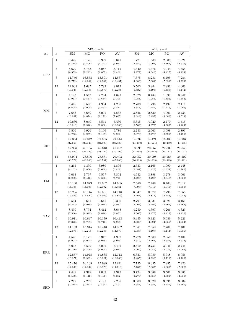|                                                           |                  |                    |                    | $\mathcal{M}2, \gamma = 3$ |                    |                    |                  |                                                                                                                                                                                                                                                                                                                                                                                                                                                                                                                                                                                                                                                                                                                                                                                                            |                    |
|-----------------------------------------------------------|------------------|--------------------|--------------------|----------------------------|--------------------|--------------------|------------------|------------------------------------------------------------------------------------------------------------------------------------------------------------------------------------------------------------------------------------------------------------------------------------------------------------------------------------------------------------------------------------------------------------------------------------------------------------------------------------------------------------------------------------------------------------------------------------------------------------------------------------------------------------------------------------------------------------------------------------------------------------------------------------------------------------|--------------------|
| $x_{it}$                                                  | $\boldsymbol{h}$ | ${\rm SM}$         | MG                 | PO                         | AV                 | ${\rm SM}$         | MG               | PO                                                                                                                                                                                                                                                                                                                                                                                                                                                                                                                                                                                                                                                                                                                                                                                                         | $\mathrm{AV}$      |
|                                                           | $\mathbf{1}$     | 3.442<br>(4.718)   | 3.176<br>(3.809)   | 3.999<br>(4.323)           | 3.641<br>(5.072)   | 1.721<br>(2.359)   | 1.588<br>(1.904) | 2.000<br>(2.162)                                                                                                                                                                                                                                                                                                                                                                                                                                                                                                                                                                                                                                                                                                                                                                                           | 1.821<br>(2.536)   |
|                                                           | $\sqrt{3}$       | 8.679<br>(6.553)   | 8.753<br>(9.292)   | 8.087<br>(8.855)           | 8.711<br>(8.468)   | 4.340<br>(3.277)   | 4.376<br>(4.646) | 4.044<br>(4.427)                                                                                                                                                                                                                                                                                                                                                                                                                                                                                                                                                                                                                                                                                                                                                                                           | 4.355<br>(4.234)   |
|                                                           | $\,6$            | 14.750<br>(9.772)  | 16.563<br>(14.662) | 13.591<br>(14.182)         | 14.567<br>(10.457) | 7.375<br>(4.886)   | 8.281<br>(7.331) | 6.795<br>(7.091)                                                                                                                                                                                                                                                                                                                                                                                                                                                                                                                                                                                                                                                                                                                                                                                           | 7.284<br>(5.229)   |
|                                                           | 12               | 11.005<br>(13.044) | 7.687<br>(12.386)  | 5.792<br>(10.879)          | 8.012<br>(12.284)  | 5.503<br>(6.522)   | 3.844<br>(6.193) | 2.896<br>(5.439)                                                                                                                                                                                                                                                                                                                                                                                                                                                                                                                                                                                                                                                                                                                                                                                           | 4.006<br>(6.142)   |
|                                                           | $\mathbf 1$      | 4.145<br>(3.961)   | 1.567<br>(2.567)   | 2.784<br>(3.644)           | 1.693<br>(3.305)   | 2.073<br>(1.981)   | 0.784<br>(1.283) | 1.392<br>(1.822)                                                                                                                                                                                                                                                                                                                                                                                                                                                                                                                                                                                                                                                                                                                                                                                           | 0.847<br>(1.652)   |
|                                                           | 3                | 5.418<br>(6.695)   | 3.590<br>(2.905)   | 4.984<br>(3.553)           | 4.230<br>(3.812)   | 2.709<br>(3.347)   | 1.795<br>(1.452) | 2.492<br>(1.776)                                                                                                                                                                                                                                                                                                                                                                                                                                                                                                                                                                                                                                                                                                                                                                                           | 2.115<br>(1.906)   |
|                                                           | 6                | 7.653<br>(10.097)  | 5.659<br>(4.874)   | 8.001<br>(6.173)           | 4.868<br>(7.037)   | 3.826<br>(5.048)   | 2.830<br>(2.437) | 4.001<br>(3.086)                                                                                                                                                                                                                                                                                                                                                                                                                                                                                                                                                                                                                                                                                                                                                                                           | 2.434<br>(3.518)   |
|                                                           | 12               | 10.630<br>(13.018) | 8.040<br>(9.946)   | 5.541<br>(9.866)           | 7.430<br>(10.968)  | 5.315<br>(6.509)   | 4.020<br>(4.973) | $\mathcal{M}2, \gamma = 6$<br>2.770<br>(4.933)<br>2.963<br>3.098<br>(2.478)<br>(2.599)<br>14.421<br>16.483<br>(11.571)<br>(12.250)<br>20.052<br>22.809<br>(13.612)<br>(14.111)<br>39.298<br>39.266<br>(24.033)<br>(23.395)<br>2.165<br>1.990<br>(1.425)<br>(1.334)<br>3.898<br>3.278<br>(2.720)<br>(2.348)<br>7.489<br>6.468<br>(6.046)<br>(7.049)<br>8.072<br>7.790<br>(8.811)<br>(8.783)<br>3.331<br>3.321<br>(2.495)<br>(2.469)<br>4.397<br>4.206<br>(3.475)<br>(3.413)<br>5.323<br>5.089<br>(4.394)<br>(4.355)<br>7.658<br>7.709<br>(6.107)<br>(6.144)<br>2.588<br>2.659<br>(2.461)<br>(2.524)<br>2.751<br>3.046<br>(2.949)<br>(3.027)<br>5.989<br>5.918<br>(4.996)<br>(5.111)<br>8.055<br>7.995<br>(7.067)<br>(6.985)<br>3.689<br>3.501<br>(2.556)<br>(2.581)<br>3.620<br>3.596<br>(3.624)<br>(3.727) | 3.715<br>(5.484)   |
|                                                           | $\,1$            | 5.506<br>(4.756)   | 5.926<br>(4.957)   | 6.196<br>(5.197)           | 5.786<br>(4.980)   | 2.753<br>(2.378)   |                  |                                                                                                                                                                                                                                                                                                                                                                                                                                                                                                                                                                                                                                                                                                                                                                                                            | 2.893<br>(2.490)   |
|                                                           | $\sqrt{3}$       | 28.064<br>(22.660) | 28.842<br>(23.143) | 32.965<br>(24.500)         | 29.814<br>(23.330) | 14.032<br>(11.330) |                  |                                                                                                                                                                                                                                                                                                                                                                                                                                                                                                                                                                                                                                                                                                                                                                                                            | 14.907<br>(11.665) |
|                                                           | $\,6$            | 37.986<br>(35.937) | 40.105<br>(27.225) | 45.618<br>(28.222)         | 41.297<br>(30.295) | 18.993<br>(17.968) |                  |                                                                                                                                                                                                                                                                                                                                                                                                                                                                                                                                                                                                                                                                                                                                                                                                            | 20.648<br>(15.147) |
|                                                           | 12               | 65.904<br>(53.779) | 78.596<br>(48.066) | 78.531<br>(46.791)         | 70.403<br>(45.183) | 32.952<br>(26.889) |                  |                                                                                                                                                                                                                                                                                                                                                                                                                                                                                                                                                                                                                                                                                                                                                                                                            | 35.202<br>(22.591) |
|                                                           | $\mathbf{1}$     | 5.265<br>(4.162)   | 4.330<br>(2.850)   | 3.980<br>(2.668)           | 4.896<br>(3.400)   | 2.633<br>(2.081)   |                  |                                                                                                                                                                                                                                                                                                                                                                                                                                                                                                                                                                                                                                                                                                                                                                                                            | 2.448<br>(1.700)   |
|                                                           | $\sqrt{3}$       | 9.063<br>(6.992)   | 7.797<br>(5.440)   | 6.557<br>(4.696)           | 7.802<br>(5.720)   | 4.532<br>(3.496)   |                  |                                                                                                                                                                                                                                                                                                                                                                                                                                                                                                                                                                                                                                                                                                                                                                                                            | 3.901<br>(2.860)   |
|                                                           | 6                | 15.160<br>(14.195) | 14.979<br>(14.098) | 12.937<br>(12.092)         | 14.635<br>(13.461) | 7.580<br>(7.097)   |                  |                                                                                                                                                                                                                                                                                                                                                                                                                                                                                                                                                                                                                                                                                                                                                                                                            | 7.317<br>(6.730)   |
|                                                           | 12               | 13.295<br>(16.935) | 16.145<br>(17.622) | 15.581<br>(17.565)         | 14.116<br>(15.885) | 6.647<br>(8.467)   |                  |                                                                                                                                                                                                                                                                                                                                                                                                                                                                                                                                                                                                                                                                                                                                                                                                            | 7.058<br>(7.943)   |
|                                                           | $\mathbf{1}$     | 5.594<br>(5.323)   | 6.661<br>(4.989)   | 6.641<br>(4.938)           | 6.330<br>(4.937)   | 2.797<br>(2.662)   |                  |                                                                                                                                                                                                                                                                                                                                                                                                                                                                                                                                                                                                                                                                                                                                                                                                            | 3.165<br>(2.469)   |
|                                                           | $\sqrt{3}$       | 8.499<br>(7.330)   | 8.794<br>(6.949)   | 8.412<br>(6.826)           | 8.658<br>(6.851)   | 4.250<br>(3.665)   |                  |                                                                                                                                                                                                                                                                                                                                                                                                                                                                                                                                                                                                                                                                                                                                                                                                            | 4.329<br>(3.426)   |
|                                                           | 6                | 10.911<br>(7.376)  | 10.647<br>(8.787)  | 10.179<br>(8.710)          | 10.443<br>(7.967)  | 5.455<br>(3.688)   |                  |                                                                                                                                                                                                                                                                                                                                                                                                                                                                                                                                                                                                                                                                                                                                                                                                            | 5.221<br>(3.984)   |
|                                                           | 12               | 14.163<br>(12.076) | 15.315<br>(12.214) | 15.418<br>(12.288)         | 14.802<br>(11.870) | 7.081<br>(6.038)   |                  |                                                                                                                                                                                                                                                                                                                                                                                                                                                                                                                                                                                                                                                                                                                                                                                                            | 7.401<br>(5.935)   |
|                                                           | $\mathbf{1}$     | 4.545<br>(5.097)   | 5.177<br>(4.922)   | 5.317<br>(5.049)           | 4.962<br>(5.075)   | 2.273<br>(2.549)   |                  |                                                                                                                                                                                                                                                                                                                                                                                                                                                                                                                                                                                                                                                                                                                                                                                                            | 2.481<br>(2.538)   |
| PPP<br>MM<br><b>UIP</b><br>FM<br><b>TAY</b><br>ERR<br>SRD | 3                | 5.038<br>(6.120)   | 5.502<br>(5.899)   | 6.092<br>(6.054)           | 5.492<br>(6.012)   | 2.519<br>(3.060)   |                  |                                                                                                                                                                                                                                                                                                                                                                                                                                                                                                                                                                                                                                                                                                                                                                                                            | 2.746<br>(3.006)   |
|                                                           | 6                | 12.667<br>(10.871) | 11.978<br>(9.992)  | 11.835<br>(10.221)         | 12.113<br>(10.260) | 6.333<br>(5.435)   |                  |                                                                                                                                                                                                                                                                                                                                                                                                                                                                                                                                                                                                                                                                                                                                                                                                            | 6.056<br>(5.130)   |
|                                                           | 12               | 15.470<br>(14.333) | 16.109<br>(14.134) | 15.989<br>(13.970)         | 15.841<br>(14.116) | 7.735<br>(7.167)   |                  |                                                                                                                                                                                                                                                                                                                                                                                                                                                                                                                                                                                                                                                                                                                                                                                                            | 7.920<br>(7.058)   |
|                                                           | $\mathbf{1}$     | 7.449<br>(5.550)   | 7.378<br>(5.112)   | 7.002<br>(5.163)           | 7.373<br>(5.302)   | 3.724<br>(2.775)   |                  |                                                                                                                                                                                                                                                                                                                                                                                                                                                                                                                                                                                                                                                                                                                                                                                                            | 3.686<br>(2.651)   |
|                                                           | $\sqrt{3}$       | 7.217<br>(7.315)   | 7.239<br>(7.247)   | 7.191<br>(7.454)           | 7.208<br>(7.402)   | 3.608<br>(3.657)   |                  |                                                                                                                                                                                                                                                                                                                                                                                                                                                                                                                                                                                                                                                                                                                                                                                                            | 3.604<br>(3.701)   |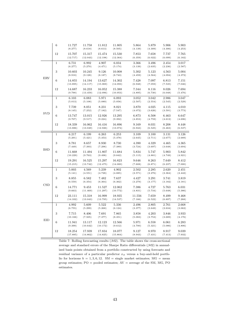|            | $\,6$           | 11.727<br>(8.277)  | 11.758<br>(8.618)  | 11.812<br>(8.613)  | 11.805<br>(8.505)  | 5.864<br>(4.139)  | 5.879<br>(4.309) | 5.906<br>(4.306)                                                                                                                                                                                                                                                                                                                                                                                                                                                                                                                     | 5.903<br>(4.253) |
|------------|-----------------|--------------------|--------------------|--------------------|--------------------|-------------------|------------------|--------------------------------------------------------------------------------------------------------------------------------------------------------------------------------------------------------------------------------------------------------------------------------------------------------------------------------------------------------------------------------------------------------------------------------------------------------------------------------------------------------------------------------------|------------------|
|            | 12              | 15.707<br>(12.717) | 15.317<br>(12.043) | 15.474<br>(12.198) | 15.530<br>(12.364) | 7.853<br>(6.359)  | 7.658<br>(6.022) | 7.737<br>(6.099)                                                                                                                                                                                                                                                                                                                                                                                                                                                                                                                     | 7.765<br>(6.182) |
|            | $\mathbf{1}$    | 6.731<br>(6.277)   | 6.992<br>(5.270)   | 4.907<br>(4.471)   | 6.034<br>(5.174)   | 3.366<br>(3.139)  | 3.496<br>(2.635) | 2.454<br>(2.236)                                                                                                                                                                                                                                                                                                                                                                                                                                                                                                                     | 3.017<br>(2.587) |
|            | $\,3$           | 10.603<br>(8.918)  | 10.245<br>(9.128)  | 9.126<br>(8.187)   | 10.008<br>(8.743)  | 5.302<br>(4.459)  | 5.123<br>(4.564) | 4.563<br>(4.094)                                                                                                                                                                                                                                                                                                                                                                                                                                                                                                                     | 5.004<br>(4.372) |
| <b>ERV</b> | $6\phantom{1}6$ | 14.855<br>(13.895) | 14.194<br>(14.117) | 13.627<br>(15.069) | 14.302<br>(14.093) | 7.428<br>(6.948)  | 7.097<br>(7.059) | 6.813<br>(7.535)                                                                                                                                                                                                                                                                                                                                                                                                                                                                                                                     | 7.151<br>(7.046) |
|            | 12              | 14.687<br>(9.790)  | 16.233<br>(13.459) | 16.052<br>(12.096) | 15.388<br>(10.953) | 7.344<br>(4.895)  | 8.116<br>(6.730) | 8.026<br>(6.048)                                                                                                                                                                                                                                                                                                                                                                                                                                                                                                                     | 7.694<br>(5.476) |
|            | $\mathbf{1}$    | 6.103<br>(5.013)   | 6.083<br>(5.108)   | 5.971<br>(5.089)   | 6.093<br>(5.058)   | 3.052<br>(2.507)  | 3.042<br>(2.554) | 2.986<br>(2.545)                                                                                                                                                                                                                                                                                                                                                                                                                                                                                                                     | 3.047<br>(2.529) |
|            | $\sqrt{3}$      | 7.739<br>(8.145)   | 8.051<br>(7.252)   | 8.231<br>(7.182)   | 8.021<br>(7.547)   | 3.870<br>(4.072)  | 4.025<br>(3.626) | 4.115<br>(3.591)                                                                                                                                                                                                                                                                                                                                                                                                                                                                                                                     | 4.010<br>(3.773) |
| <b>SVD</b> | $\,6$           | 13.747<br>(9.707)  | 13.015<br>(9.517)  | 12.926<br>(9.224)  | 13.295<br>(9.392)  | 6.873<br>(4.853)  | 6.508<br>(4.759) | 6.463<br>(4.612)                                                                                                                                                                                                                                                                                                                                                                                                                                                                                                                     | 6.647<br>(4.696) |
|            | 12              | 18.339<br>(13.886) | 16.062<br>(13.049) | 16.416<br>(12.926) | 16.896<br>(13.074) | 9.169<br>(6.943)  | 8.031<br>(6.525) | 8.208<br>8.448<br>(6.463)<br>(6.537)<br>3.131<br>3.126<br>(2.677)<br>(2.689)<br>4.465<br>4.365<br>(3.648)<br>(3.694)<br>5.903<br>5.842<br>(4.749)<br>(4.921)<br>7.649<br>8.412<br>(6.237)<br>(7.000)<br>2.620<br>2.451<br>(2.364)<br>(2.442)<br>3.741<br>3.819<br>(3.182)<br>(3.181)<br>5.763<br>6.031<br>(5.648)<br>(5.386)<br>8.499<br>9.468<br>(6.897)<br>(7.268)<br>2.761<br>2.668<br>(2.634)<br>(3.062)<br>3.846<br>3.933<br>(3.689)<br>(4.176)<br>6.061<br>6.283<br>(5.086)<br>(4.806)<br>8.917<br>9.039<br>(7.413)<br>(7.932) |                  |
|            | $\,1$           | 6.217<br>(5.291)   | 6.199<br>(5.421)   | 6.263<br>(5.353)   | 6.253<br>(5.378)   | 3.109<br>(2.645)  | 3.100<br>(2.711) |                                                                                                                                                                                                                                                                                                                                                                                                                                                                                                                                      |                  |
|            | 3               | 8.781<br>(7.449)   | 8.657<br>(7.393)   | 8.930<br>(7.296)   | 8.730<br>(7.389)   | 4.390<br>(3.724)  | 4.329<br>(3.697) |                                                                                                                                                                                                                                                                                                                                                                                                                                                                                                                                      |                  |
| <b>BSD</b> | $\,6$           | 11.668<br>(10.229) | 11.494<br>(9.763)  | 11.807<br>(9.498)  | 11.684<br>(9.842)  | 5.834<br>(5.115)  | 5.747<br>(4.881) |                                                                                                                                                                                                                                                                                                                                                                                                                                                                                                                                      |                  |
|            | 12              | 19.291<br>(15.215) | 16.525<br>(13.742) | 15.297<br>(12.475) | 16.823<br>(14.000) | 9.646<br>(7.608)  | 8.263<br>(6.871) |                                                                                                                                                                                                                                                                                                                                                                                                                                                                                                                                      |                  |
|            | $\mathbf{1}$    | 5.003<br>(5.141)   | 4.569<br>(4.551)   | 5.239<br>(4.728)   | 4.902<br>(4.885)   | 2.502<br>(2.571)  | 2.285<br>(2.276) |                                                                                                                                                                                                                                                                                                                                                                                                                                                                                                                                      |                  |
|            | $\sqrt{3}$      | 8.855<br>(6.559)   | 6.582<br>(6.354)   | 7.482<br>(6.364)   | 7.637<br>(6.362)   | 4.427<br>(3.279)  | 3.291<br>(3.177) |                                                                                                                                                                                                                                                                                                                                                                                                                                                                                                                                      |                  |
| CSD        | $\,6$           | 14.771<br>(9.663)  | 9.453<br>(11.469)  | 11.527<br>(11.297) | 12.062<br>(10.772) | 7.386<br>(4.831)  | 4.727<br>(5.734) |                                                                                                                                                                                                                                                                                                                                                                                                                                                                                                                                      |                  |
|            | 12              | 23.111<br>(14.332) | 15.318<br>(13.043) | 16.999<br>(13.795) | 18.935<br>(14.537) | 11.556<br>(7.166) | 7.659<br>(6.522) |                                                                                                                                                                                                                                                                                                                                                                                                                                                                                                                                      |                  |
|            | $\,1$           | 4.992<br>(6.755)   | 5.609<br>(5.299)   | 5.522<br>(5.268)   | 5.336<br>(6.124)   | 2.496<br>(3.377)  | 2.805<br>(2.649) |                                                                                                                                                                                                                                                                                                                                                                                                                                                                                                                                      |                  |
|            | 3               | 7.715<br>(10.166)  | 8.406<br>(7.505)   | 7.691<br>(7.377)   | 7.865<br>(8.351)   | 3.858<br>(5.083)  | 4.203<br>(3.753) |                                                                                                                                                                                                                                                                                                                                                                                                                                                                                                                                      |                  |
| <b>EID</b> | 6               | 11.941<br>(9.399)  | 13.117<br>(10.642) | 12.123<br>(10.172) | 12.566<br>(9.612)  | 5.971<br>(4.700)  | 6.558<br>(5.321) |                                                                                                                                                                                                                                                                                                                                                                                                                                                                                                                                      |                  |
|            | 12              | 18.254<br>(17.885) | 17.939<br>(14.862) | 17.834<br>(14.825) | 18.077<br>(15.864) | 9.127<br>(8.943)  | 8.970<br>(7.431) |                                                                                                                                                                                                                                                                                                                                                                                                                                                                                                                                      |                  |

Table 7: Rolling forecasting results  $(M2)$ . The table shows the cross-sectional average and standard errors of the Sharpe Ratio differentials  $(\mathcal{M}2)$  in annualized basis points obtained from a portfolio constructed by using forecasts and residual variance of a particular predictor  $x_{it}$  versus a buy-and-hold portfolio for horizons  $h = 1, 3, 6, 12$ . SM = single market estimates; MG = mean group estimates; PO = pooled estimates; AV = average of the SM, MG, PO estimates.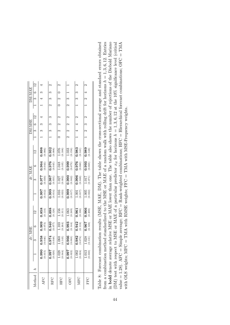|        |                                 | $dr$ , MSE         |                  |                  |                    | dr, MAE              |                    |                         |   |                | DM-MSE        |                        |  | DM-MAE      |               |
|--------|---------------------------------|--------------------|------------------|------------------|--------------------|----------------------|--------------------|-------------------------|---|----------------|---------------|------------------------|--|-------------|---------------|
| Method |                                 | 9                  | ¢                | $^{12}$          |                    | S                    | C                  | $\overline{c}$          |   |                | $\frac{1}{3}$ | $^{12}$                |  | $3 \quad 6$ | $\frac{1}{2}$ |
| AFC    | $0.990$<br>$(0.015)$            | 0.958<br>(0.046)   | 0.909<br>(0.073) | 0.858<br>(0.110) | $0.997$<br>(0.012) | (0.01)               | 0.964<br>(0.043)   | 0.898<br>(0.086)        |   |                |               |                        |  |             |               |
| RFC    | $0.997$<br>(0.020)              | 0.974<br>(0.048)   | 0.940<br>(0.077) | 0.898<br>(0.126) | 0.999<br>(0.014)   | 0.987<br>(0.031)     | 0.976<br>(0.045)   | 0.932<br>(0.088)        |   |                |               | ∝                      |  |             |               |
| HFC    | $1.028$<br>(0.044)              | (0.143)<br>1.060   | (0.264)<br>1.103 | 1.156<br>(0.311) | 1.016<br>(0.023)   | $1.027$<br>(0.082)   | $1.048$<br>(0.105) | 1.076<br>(0.188)        |   |                |               |                        |  |             |               |
| OFC    | $\overline{0.997}$<br>$(0.022)$ | 0.966<br>(0.063)   | 0.993<br>(0.144) | (0.249)<br>1.063 | 0.999<br>$(0.017)$ | 0.990<br>(0.042)     | 0.999<br>(0.073)   | 1.033<br>(0.156)        | 2 |                |               |                        |  |             |               |
| MFC    | $\frac{1.002}{(0.024)}$         | 0.982<br>(0.074)   | 0.942<br>(0.118) | 0.961<br>(0.196) | (0.017)<br>$1.001$ | $0.996$<br>$(0.048)$ | $0.976$<br>(0.060) | $\frac{0.983}{(0.141)}$ |   | $\overline{a}$ |               | 2                      |  |             |               |
| FFC    | $1.013$<br>$(0.030)$            | $1.028$<br>(0.131) | 0.967<br>(0.128) | 0.966<br>(0.200) | (0.022)<br>1.005   | (0.071)<br>1.017     | 0.993<br>(0.065)   | $0.989$<br>(0.148)      |   |                |               | $\mathbf{\mathcal{C}}$ |  |             |               |

from a combination method standardized to the MSE or MAE of a random walk with rolling drift for horizons  $h = 1, 3, 6, 12$ . Entries in **bold** denote average relative MSE or MAE lower than one. The table also shows the number of rejections of the Diebold Mariano Table 8: Forecast combination results (MSE, MAE, DM). The table shows the cross-sectional average and standard errors obtained (DM) test with respect to MSE or MAE of a particular predictor  $x_{it}$  for horizons  $h = 1, 3, 6, 12$  at the 10% significance level (critical Table 8: Forecast combination results (MSE, MAE, DM). The table shows the cross-sectional average and standard errors obtained from a combination method standardized to the MSE or MAE of a random walk with rolling drift for horizons  $h = 1, 3, 6, 12$ . Entries in bold denote average relative MSE or MAE lower than one. The table also shows the number of rejections of the Diebold Mariano (DM) test with respect to MSE or MAE of a particular predictor  $x_{it}$  for horizons  $h = 1, 3, 6, 12$  at the 10% significance level (critical value = 1.28). AFC = Simple average; RFC = Rank-weighted combinations; HFC = Hierarchical forecast combinations;  $OFC = TMA$ value = 1.28). AFC = Simple average; RFC = Rank-weighted combinations; HFC = Hierarchical forecast combinations; OFC = TMA with OLS weights; MFC = TMA with RMSE weights;  $FFC = TMA$  with MSE-Frequency weights. with OLS weights; MFC = TMA with RMSE weights; FFC = TMA with MSE-Frequency weights.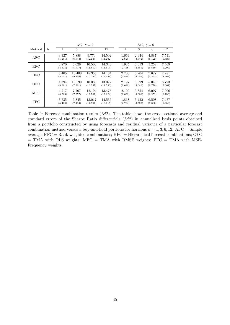|            |                  |                  |                   | $\mathcal{M}2, \gamma = 2$ |                    |                  |                  | $\mathcal{M}2, \gamma = 6$ |                  |
|------------|------------------|------------------|-------------------|----------------------------|--------------------|------------------|------------------|----------------------------|------------------|
| Method     | $\boldsymbol{h}$ |                  | 3                 | 6                          | 12                 | 1                | 3                | 6                          | 12               |
| AFC        |                  | 3.327<br>(5.251) | 5.888<br>(6.744)  | 9.774<br>(12.244)          | 14.502<br>(11.202) | 1.664<br>(2.625) | 2.944<br>(3.372) | 4.887<br>(6.122)           | 7.541<br>(5.526) |
| <b>RFC</b> |                  | 3.870<br>(4.835) | 6.026<br>(5.717)  | 10.503<br>(11.619)         | 14.346<br>(11.614) | 1.935<br>(2.418) | 3.013<br>(2.859) | 5.252<br>(5.810)           | 7.469<br>(5.700) |
| <b>HFC</b> |                  | 5.405<br>(5.651) | 10.408<br>(9.104) | 15.355<br>(10.786)         | 14.134<br>(17.497) | 2.703<br>(2.826) | 5.204<br>(4.552) | 7.677<br>(5.393)           | 7.281<br>(8.361) |
| OFC        |                  | 4.394<br>(5.361) | 10.199<br>(7.281) | 10.086<br>(13.557)         | 13.072<br>(11.590) | 2.197<br>(2.680) | 5.099<br>(3.640) | 5.043<br>(6.778)           | 6.793<br>(5.664) |
| <b>MFC</b> |                  | 4.217<br>(5.265) | 7.707<br>(7.277)  | 12.194<br>(12.501)         | 13.475<br>(12.624) | 2.109<br>(2.633) | 3.854<br>(3.638) | 6.097<br>(6.251)           | 7.006<br>(6.150) |
| FFC        |                  | 3.735<br>(5.408) | 6.845<br>(7.184)  | 13.017<br>(14.767)         | 14.536<br>(13.615) | 1.868<br>(2.704) | 3.422<br>(3.592) | 6.508<br>(7.383)           | 7.477<br>(6.650) |

Table 9: Forecast combination results  $(M2)$ . The table shows the cross-sectional average and standard errors of the Sharpe Ratio differentials (M2) in annualized basis points obtained from a portfolio constructed by using forecasts and residual variance of a particular forecast combination method versus a buy-and-hold portfolio for horizons  $h = 1, 3, 6, 12$ . AFC = Simple average; RFC = Rank-weighted combinations; HFC = Hierarchical forecast combinations; OFC  $=$  TMA with OLS weights; MFC  $=$  TMA with RMSE weights; FFC  $=$  TMA with MSE-Frequency weights.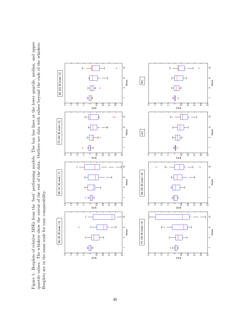Figure 1: Boxplots of relative MSEs from the 'best' performing models. The box has lines at the lower quartile, median, and upper quartile values. The whiskers show the extent of the rest of the data. Outliers are data with values beyond the ends of the whiskers. Figure 1: Boxplots of relative MSEs from the 'best' performing models. The box has lines at the lower quartile, median, and upper quartile values. The whiskers show the extent of the rest of the data. Outliers are data with values beyond the ends of the whiskers. Boxplots are in the same scale for easy comparability. Boxplots are in the same scale for easy comparability.

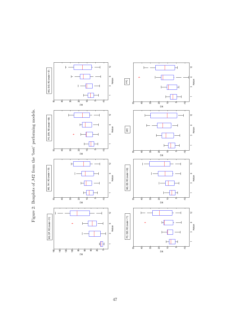Figure 2: Boxplots of  $M2$  from the 'best' performing models. Figure 2: Boxplots of M2 from the 'best' performing models.